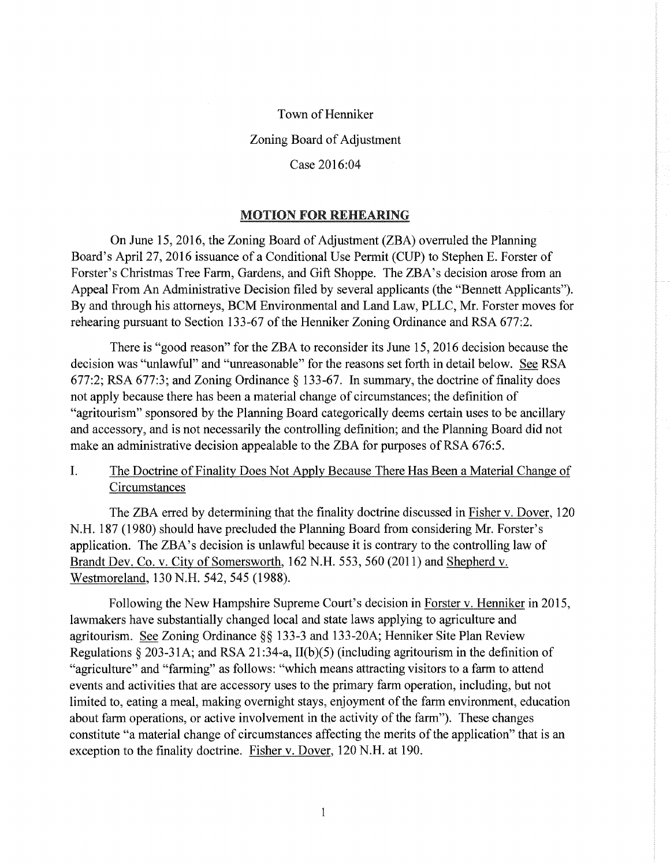### Town of Henniker

### Zoning Board of Adjustment

### Case 2016:04

### MOTION FOR REHEARING

On June 15, 2016, the Zoning Board of Adjustment (ZBA) overruled the Planning Board's April27, 2016 issuance of a Conditional Use Permit (CUP) to Stephen E. Forster of Forster's Christmas Tree Farm, Gardens, and Gift Shoppe. The ZBA's decision arose from an Appeal From An Administrative Decision filed by several applicants (the "Bennett Applicants"). By and through his attorneys, BCM Environmental and Land Law, PLLC, Mr. Forster moves for rehearing pursuant to Section 133-67 of the Henniker Zoning Ordinance and RSA 677:2.

There is "good reason" for the ZBA to reconsider its June 15, 2016 decision because the decision was "unlawful" and "unreasonable" for the reasons set forth in detail below. See RSA 677:2; RSA 677:3; and Zoning Ordinance§ 133-67. In summary, the doctrine of finality does not apply because there has been a material change of circumstances; the definition of "agritourism" sponsored by the Planning Board categorically deems certain uses to be ancillary and accessory, and is not necessarily the controlling definition; and the Planning Board did not make an administrative decision appealable to the ZBA for purposes of RSA 676:5.

## I. The Doctrine of Finality Does Not Apply Because There Has Been a Material Change of **Circumstances**

The ZBA erred by determining that the finality doctrine discussed in Fisher v. Dover, 120 N.H. 187 (1980) should have precluded the Planning Board from considering Mr. Forster's application. The ZBA's decision is unlawful because it is contrary to the controlling law of Brandt Dev. Co. v. City of Somersworth, 162 N.H. 553, 560 (2011) and Shepherd v. Westmoreland, 130 N.H. 542, 545 (1988).

Following the New Hampshire Supreme Court's decision in Forster v. Henniker in 2015, lawmakers have substantially changed local and state laws applying to agriculture and agritourism. See Zoning Ordinance §§ 133-3 and 133-20A; Henniker Site Plan Review Regulations  $\S 203-31$ A; and RSA 21:34-a, II(b)(5) (including agritourism in the definition of "agriculture" and "farming" as follows: "which means attracting visitors to a farm to attend events and activities that are accessory uses to the primary farm operation, including, but not limited to, eating a meal, making overnight stays, enjoyment of the farm environment, education about farm operations, or active involvement in the activity of the farm"). These changes constitute "a material change of circumstances affecting the merits of the application" that is an exception to the finality doctrine. Fisher v. Dover, 120 N.H. at 190.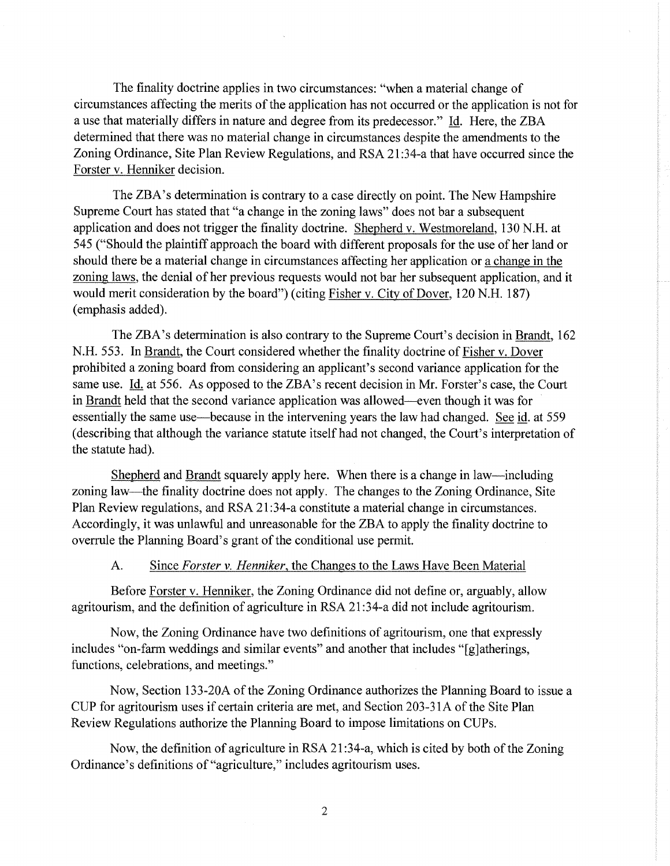The finality doctrine applies in two circumstances: "when a material change of circumstances affecting the merits of the application has not occurred or the application is not for a use that materially differs in nature and degree from its predecessor." Id. Here, the ZBA determined that there was no material change in circumstances despite the amendments to the Zoning Ordinance, Site Plan Review Regulations, and RSA 21 :34-a that have occurred since the Forster v. Henniker decision.

The ZBA's determination is contrary to a case directly on point. The New Hampshire Supreme Court has stated that "a change in the zoning laws" does not bar a subsequent application and does not trigger the finality doctrine. Shepherd v. Westmoreland, 130 N.H. at 545 ("Should the plaintiff approach the board with different proposals for the use of her land or should there be a material change in circumstances affecting her application or a change in the zoning laws, the denial of her previous requests would not bar her subsequent application, and it would merit consideration by the board") (citing Fisher v. City of Dover, 120 N.H. 187) (emphasis added).

The ZBA's determination is also contrary to the Supreme Court's decision in Brandt, 162 N.H. 553. In Brandt, the Court considered whether the finality doctrine of Fisher v. Dover prohibited a zoning board from considering an applicant's second variance application for the same use. Id. at 556. As opposed to the ZBA's recent decision in Mr. Forster's case, the Court in Brandt held that the second variance application was allowed-even though it was for essentially the same use—because in the intervening years the law had changed. See id. at 559 (describing that although the variance statute itself had not changed, the Court's interpretation of the statute had).

Shepherd and Brandt squarely apply here. When there is a change in law-including zoning law—the finality doctrine does not apply. The changes to the Zoning Ordinance, Site Plan Review regulations, and RSA 21:34-a constitute a material change in circumstances. Accordingly, it was unlawful and unreasonable for the ZBA to apply the finality doctrine to overrule the Planning Board's grant of the conditional use permit.

### A. Since *Forster v. Henniker,* the Changes to the Laws Have Been Material

Before Forster v. Henniker, the Zoning Ordinance did not define or, arguably, allow agritourism, and the definition of agriculture in RSA 21 :34-a did not include agritourism.

Now, the Zoning Ordinance have two definitions of agritourism, one that expressly includes "on-farm weddings and similar events" and another that includes "[g]atherings, functions, celebrations, and meetings."

Now, Section 133-20A of the Zoning Ordinance authorizes the Planning Board to issue a CUP for agritourism uses if certain criteria are met, and Section 203-31 A of the Site Plan Review Regulations authorize the Planning Board to impose limitations on CUPs.

Now, the definition of agriculture in RSA 21 :34-a, which is cited by both of the Zoning Ordinance's definitions of"agriculture," includes agritourism uses.

2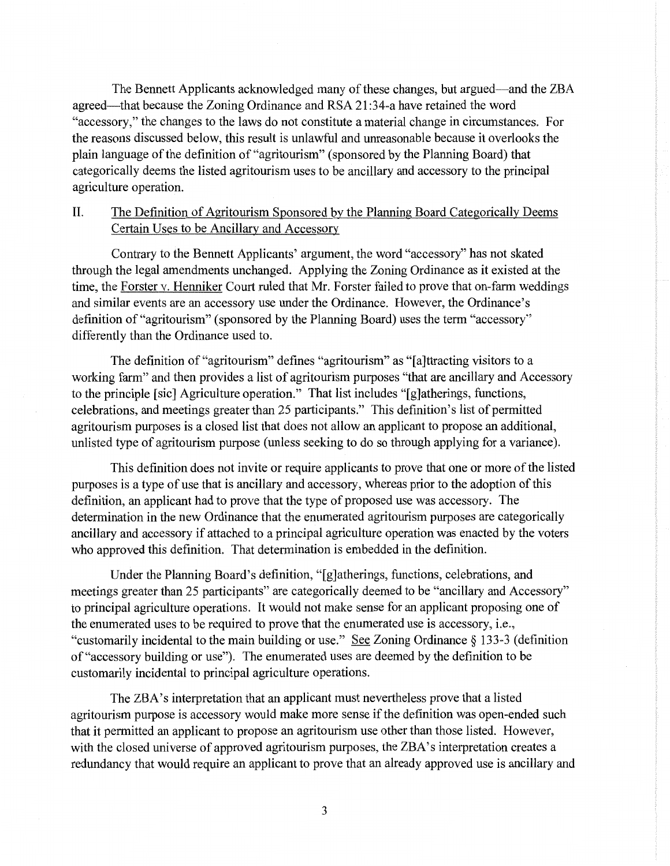The Bennett Applicants acknowledged many of these changes, but argued-and the ZBA agreed—that because the Zoning Ordinance and RSA 21:34-a have retained the word "accessory," the changes to the laws do not constitute a material change in circumstances. For the reasons discussed below, this result is unlawful and unreasonable because it overlooks the plain language of the definition of"agritourism" (sponsored by the Planning Board) that categorically deems the listed agritourism uses to be ancillary and accessory to the principal agriculture operation.

## II. The Definition of Agritourism Sponsored by the Planning Board Categorically Deems Certain Uses to be Ancillary and Accessory

Contrary to the Bennett Applicants' argument, the word "accessory" has not skated through the legal amendments unchanged. Applying the Zoning Ordinance as it existed at the time, the Forster v. Henniker Court ruled that Mr. Forster failed to prove that on-farm weddings and similar events are an accessory use under the Ordinance. However, the Ordinance's definition of "agritourism" (sponsored by the Planning Board) uses the term "accessory" differently than the Ordinance used to.

The definition of"agritourism" defines "agritourism" as "[a]ttracting visitors to a working farm" and then provides a list of agritourism purposes "that are ancillary and Accessory to the principle [sic] Agriculture operation." That list includes "[g]atherings, functions, celebrations, and meetings greater than 25 participants." This definition's list of permitted agritourism purposes is a closed list that does not allow an applicant to propose an additional, unlisted type of agritourism purpose (unless seeking to do so through applying for a variance).

This definition does not invite or require applicants to prove that one or more of the listed purposes is a type of use that is ancillary and accessory, whereas prior to the adoption of this definition, an applicant had to prove that the type of proposed use was accessory. The determination in the new Ordinance that the enumerated agritourism purposes are categorically ancillary and accessory if attached to a principal agriculture operation was enacted by the voters who approved this definition. That determination is embedded in the definition.

Under the Planning Board's definition, "[g]atherings, functions, celebrations, and meetings greater than 25 participants" are categorically deemed to be "ancillary and Accessory" to principal agriculture operations. It would not make sense for an applicant proposing one of the enumerated uses to be required to prove that the enumerated use is accessory, i.e., "customarily incidental to the main building or use." See Zoning Ordinance§ 133-3 (definition of "accessory building or use"). The enumerated uses are deemed by the definition to be customarily incidental to principal agriculture operations.

The ZBA's interpretation that an applicant must nevertheless prove that a listed agritourism purpose is accessory would make more sense if the definition was open-ended such that it permitted an applicant to propose an agritourism use other than those listed. However, with the closed universe of approved agritourism purposes, the ZBA's interpretation creates a redundancy that would require an applicant to prove that an already approved use is ancillary and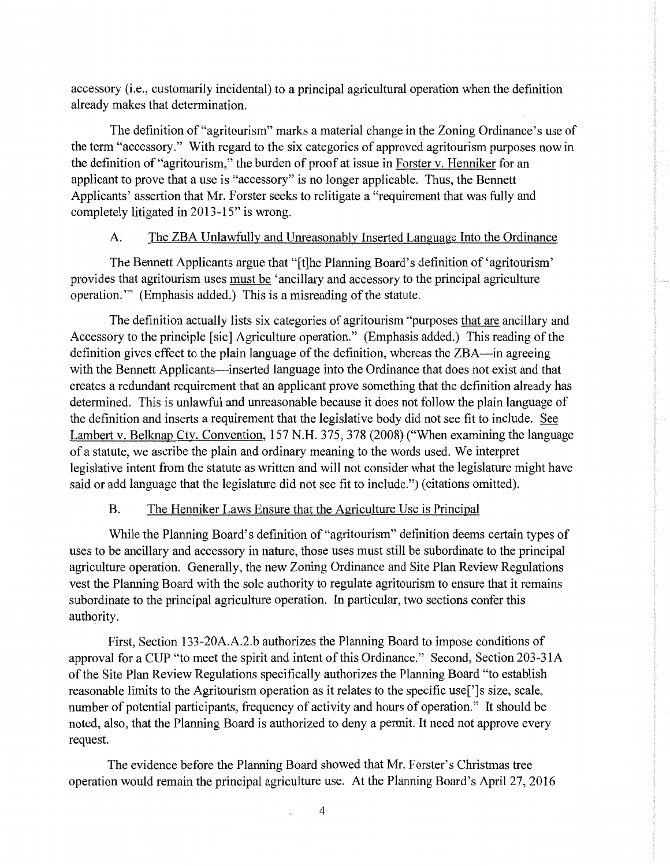accessory (i.e., customarily incidental) to a principal agricultural operation when the definition already makes that determination.

The definition of"agritourism" marks a material change in the Zoning Ordinance's use of the term "accessory." With regard to the six categories of approved agritourism purposes now in the definition of "agritourism," the burden of proof at issue in Forster v. Henniker for an applicant to prove that a use is "accessory" is no longer applicable. Thus, the Bennett Applicants' assertion that Mr. Forster seeks to relitigate a "requirement that was fully and completely litigated in 2013-15" is wrong.

### A. The ZBA Unlawfully and Unreasonably Inserted Language Into the Ordinance

The Bennett Applicants argue that "[t]he Planning Board's definition of 'agritourism' provides that agritourism uses must be 'ancillary and accessory to the principal agriculture operation."' (Emphasis added.) This is a misreading of the statute.

The definition actually lists six categories of agritourism "purposes that are ancillary and Accessory to the principle [sic] Agriculture operation." (Emphasis added.) This reading of the definition gives effect to the plain language of the definition, whereas the ZBA-in agreeing with the Bennett Applicants—inserted language into the Ordinance that does not exist and that creates a redundant requirement that an applicant prove something that the definition already has determined. This is unlawful and unreasonable because it does not follow the plain language of the definition and inserts a requirement that the legislative body did not see fit to include. See Lambert v. Belknap Cty. Convention, 157 N.H. 375, 378 (2008) ("When examining the language of a statute, we ascribe the plain and ordinary meaning to the words used. We interpret legislative intent from the statute as written and will not consider what the legislature might have said or add language that the legislature did not see fit to include.") (citations omitted).

### B. The Henniker Laws Ensure that the Agriculture Use is Principal

While the Planning Board's definition of "agritourism" definition deems certain types of uses to be ancillary and accessory in nature, those uses must still be subordinate to the principal agriculture operation. Generally, the new Zoning Ordinance and Site Plan Review Regulations vest the Planning Board with the sole authority to regulate agritourism to ensure that it remains subordinate to the principal agriculture operation. In particular, two sections confer this authority.

First, Section 133-20A.A.2.b authorizes the Planning Board to impose conditions of approval for a CUP "to meet the spirit and intent of this Ordinance." Second, Section 203-31A of the Site Plan Review Regulations specifically authorizes the Planning Board "to establish reasonable limits to the Agritourism operation as it relates to the specific use[']s size, scale, number of potential participants, frequency of activity and hours of operation." It should be noted, also, that the Planning Board is authorized to deny a permit. It need not approve every request.

The evidence before the Planning Board showed that Mr. Forster's Christmas tree operation would remain the principal agriculture use. At the Planning Board's April27, 2016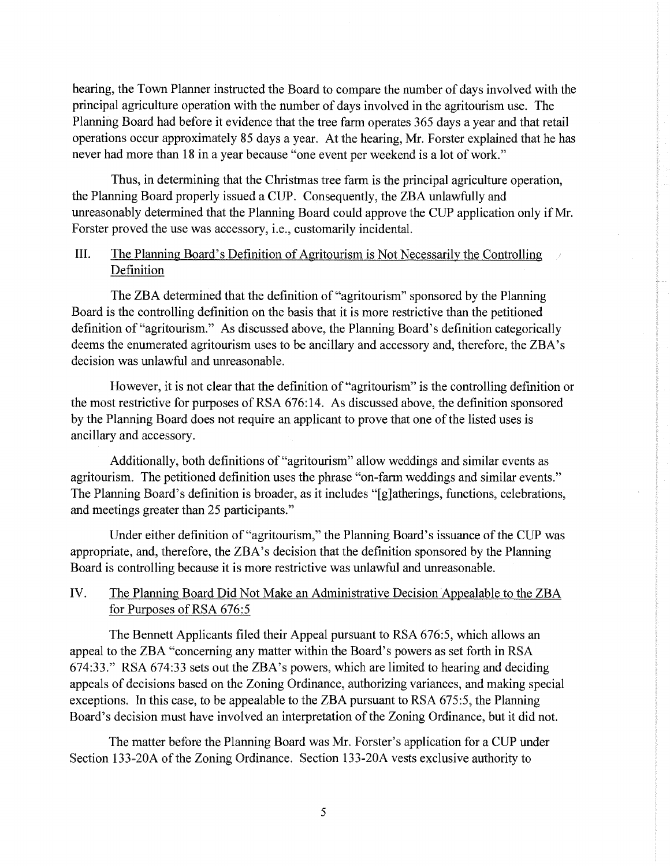hearing, the Town Planner instructed the Board to compare the number of days involved with the principal agriculture operation with the number of days involved in the agritourism use. The Planning Board had before it evidence that the tree farm operates 365 days a year and that retail operations occur approximately 85 days a year. At the hearing, Mr. Forster explained that he has never had more than 18 in a year because "one event per weekend is a lot of work."

Thus, in determining that the Christmas tree farm is the principal agriculture operation, the Planning Board properly issued a CUP. Consequently, the ZBA unlawfully and unreasonably determined that the Planning Board could approve the CUP application only if Mr. Forster proved the use was accessory, i.e., customarily incidental.

## III. The Planning Board's Definition of Agritourism is Not Necessarily the Controlling Definition

The ZBA determined that the definition of "agritourism" sponsored by the Planning Board is the controlling definition on the basis that it is more restrictive than the petitioned definition of "agritourism." As discussed above, the Planning Board's definition categorically deems the enumerated agritourism uses to be ancillary and accessory and, therefore, the ZBA's decision was unlawful and unreasonable.

However, it is not clear that the definition of "agritourism" is the controlling definition or the most restrictive for purposes ofRSA 676:14. As discussed above, the definition sponsored by the Planning Board does not require an applicant to prove that one of the listed uses is ancillary and accessory.

Additionally, both definitions of "agritourism" allow weddings and similar events as agritourism. The petitioned definition uses the phrase "on-farm weddings and similar events." The Planning Board's definition is broader, as it includes "[g]atherings, functions, celebrations, and meetings greater than 25 participants."

Under either definition of"agritourism," the Planning Board's issuance of the CUP was appropriate, and, therefore, the ZBA's decision that the definition sponsored by the Planning Board is controlling because it is more restrictive was unlawful and unreasonable.

## IV. The Planning Board Did Not Make an Administrative Decision Appealable to the ZBA for Purposes of RSA 676:5

The Bennett Applicants filed their Appeal pursuant to RSA 676:5, which allows an appeal to the ZBA "concerning any matter within the Board's powers as set forth in RSA 674:33." RSA 674:33 sets out the ZBA's powers, which are limited to hearing and deciding appeals of decisions based on the Zoning Ordinance, authorizing variances, and making special exceptions. In this case, to be appealable to the ZBA pursuant to RSA 675:5, the Planning Board's decision must have involved an interpretation of the Zoning Ordinance, but it did not.

The matter before the Planning Board was Mr. Forster's application for a CUP under Section 133-20A of the Zoning Ordinance. Section 133-20A vests exclusive authority to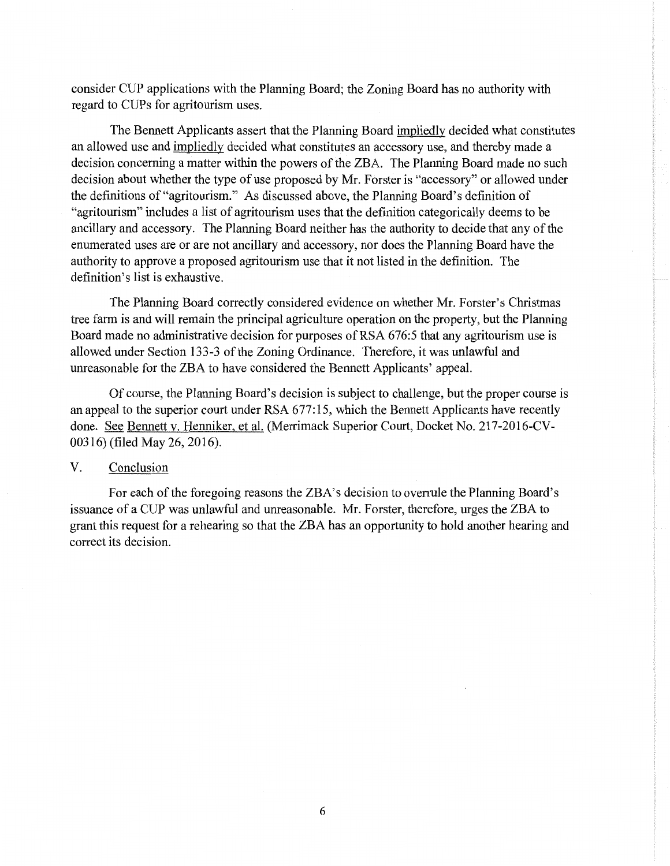consider CUP applications with the Planning Board; the Zoning Board has no authority with regard to CUPs for agritourism uses.

The Bennett Applicants assert that the Planning Board impliedly decided what constitutes an allowed use and impliedly decided what constitutes an accessory use, and thereby made a decision concerning a matter within the powers of the ZBA. The Planning Board made no such decision about whether the type of use proposed by Mr. Forster is "accessory" or allowed under the definitions of"agritourism." As discussed above, the Planning Board's definition of "agritourism" includes a list of agritourism uses that the definition categorically deems to be ancillary and accessory. The Planning Board neither has the authority to decide that any of the enumerated uses are or are not ancillary and accessory, nor does the Planning Board have the authority to approve a proposed agritourism use that it not listed in the definition. The definition's list is exhaustive.

The Planning Board correctly considered evidence on whether Mr. Forster's Christmas tree farm is and will remain the principal agriculture operation on the property, but the Planning Board made no administrative decision for purposes of RSA 676:5 that any agritourism use is allowed under Section 133-3 of the Zoning Ordinance. Therefore, it was unlawful and unreasonable for the ZBA to have considered the Bennett Applicants' appeal.

Of course, the Planning Board's decision is subject to challenge, but the proper course is an appeal to the superior court under RSA 677:15, which the Bennett Applicants have recently done. See Bennett v. Henniker, et al. (Merrimack Superior Court, Docket No. 217-2016-CV-00316) (filed May 26, 2016).

### V. Conclusion

For each of the foregoing reasons the ZBA's decision to overrule the Planning Board's issuance of a CUP was unlawful and unreasonable. Mr. Forster, therefore, urges the ZBA to grant this request for a rehearing so that the ZBA has an opportunity to hold another hearing and correct its decision.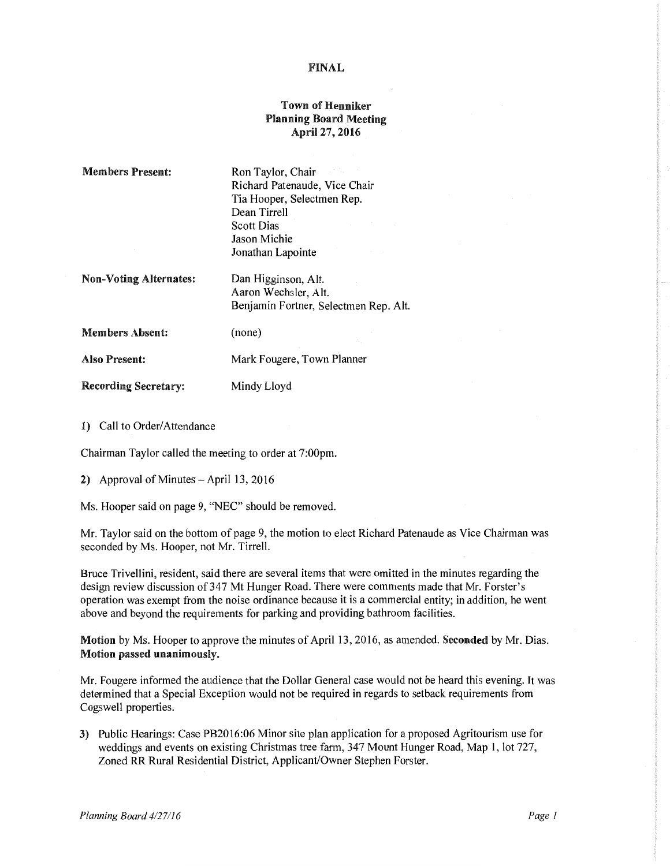### FINAL

### Town of Henniker Planning Board Meeting April27, 2016

| <b>Members Present:</b>       | Ron Taylor, Chair<br>Richard Patenaude, Vice Chair<br>Tia Hooper, Selectmen Rep.<br>Dean Tirrell<br><b>Scott Dias</b><br>Jason Michie<br>Jonathan Lapointe |
|-------------------------------|------------------------------------------------------------------------------------------------------------------------------------------------------------|
| <b>Non-Voting Alternates:</b> | Dan Higginson, Alt.<br>Aaron Wechsler, Alt.<br>Benjamin Fortner, Selectmen Rep. Alt.                                                                       |
| <b>Members Absent:</b>        | (none)                                                                                                                                                     |
| <b>Also Present:</b>          | Mark Fougere, Town Planner                                                                                                                                 |
| <b>Recording Secretary:</b>   | Mindy Lloyd                                                                                                                                                |

1) Call to Order/Attendance

Chairman Taylor called the meeting to order at 7:00pm.

2) Approval of Minutes- April 13, 2016

Ms. Hooper said on page 9, "NEC" should be removed.

Mr. Taylor said on the bottom of page 9, the motion to elect Richard Patenaude as Vice Chairman was seconded by Ms. Hooper, not Mr. Tirrell.

Bruce Trivellini, resident, said there are several items that were omitted in the minutes regarding the design review discussion of 347 Mt Hunger Road. There were comments made that Mr. Forster's operation was exempt from the noise ordinance because it is a commercial entity; in addition, he went above and beyond the requirements for parking and providing bathroom facilities.

Motion by Ms. Hooper to approve the minutes of April 13, 2016, as amended. Seconded by Mr. Dias. Motion passed unanimously.

Mr. Fougere informed the audience that the Dollar General case would not be heard this evening. It was determined that a Special Exception would not be required in regards to setback requirements from Cogswell properties.

3) Public Hearings: Case PB2016:06 Minor site plan application for a proposed Agritourism use for weddings and events on existing Christmas tree farm, 347 Mount Hunger Road, Map 1, lot 727, Zoned RR Rural Residential District, Applicant/Owner Stephen Forster.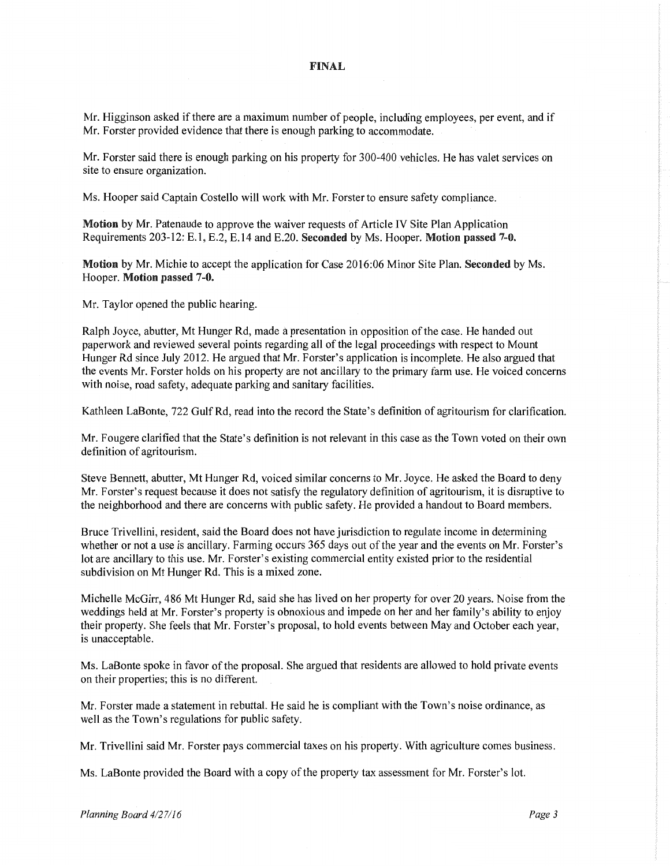#### FINAL

Mr. Higginson asked if there are a maximum number of people, including employees, per event, and if Mr. Forster provided evidence that there is enough parking to accommodate.

Mr. Forster said there is enough parking on his property for 300-400 vehicles. He has valet services on site to ensure organization.

Ms. Hooper said Captain Costello will work with Mr. Forster to ensure safety compliance.

Motion by Mr. Patenaude to approve the waiver requests of Article IV Site Plan Application Requirements 203-12: E.l, E.2, E.14 and E.20. Seconded by Ms. Hooper. Motion passed 7-0.

Motion by Mr. Michie to accept the application for Case 2016:06 Minor Site Plan. Seconded by Ms. Hooper. Motion passed 7-0.

Mr. Taylor opened the public hearing.

Ralph Joyce, abutter, Mt Hunger Rd, made a presentation in opposition of the case. He handed out paperwork and reviewed several points regarding all of the legal proceedings with respect to Mount Hunger Rd since July 2012. He argued that Mr. Forster's application is incomplete. He also argued that the events Mr. Forster holds on his property are not ancillary to the primary farm use. He voiced concerns with noise, road safety, adequate parking and sanitary facilities.

Kathleen LaBonte, 722 Gulf Rd, read into the record the State's definition of agritourism for clarification.

Mr. Fougere clarified that the State's definition is not relevant in this case as the Town voted on their own definition of agritourism.

Steve Bennett, abutter, Mt Hunger Rd, voiced similar concerns to Mr. Joyce. He asked the Board to deny Mr. Forster's request because it does not satisfy the regulatory definition of agritourism, it is disruptive to the neighborhood and there are concerns with public safety. He provided a handout to Board members.

Bruce Trivellini, resident, said the Board does not have jurisdiction to regulate income in determining whether or not a use is ancillary. Farming occurs 365 days out of the year and the events on Mr. Forster's lot are ancillary to this use. Mr. Forster's existing commercial entity existed prior to the residential subdivision on Mt Hunger Rd. This is a mixed zone.

Michelle McGirr, 486 Mt Hunger Rd, said she has lived on her property for over 20 years. Noise from the weddings held at Mr. Forster's property is obnoxious and impede on her and her family's ability to enjoy their property. She feels that Mr. Forster's proposal, to hold events between May and October each year, is unacceptable.

Ms. LaBonte spoke in favor of the proposal. She argued that residents are allowed to hold private events on their properties; this is no different.

Mr. Forster made a statement in rebuttal. He said he is compliant with the Town's noise ordinance, as well as the Town's regulations for public safety.

Mr. Trivellini said Mr. Forster pays commercial taxes on his property. With agriculture comes business.

Ms. LaBonte provided the Board with a copy of the property tax assessment for Mr. Forster's lot.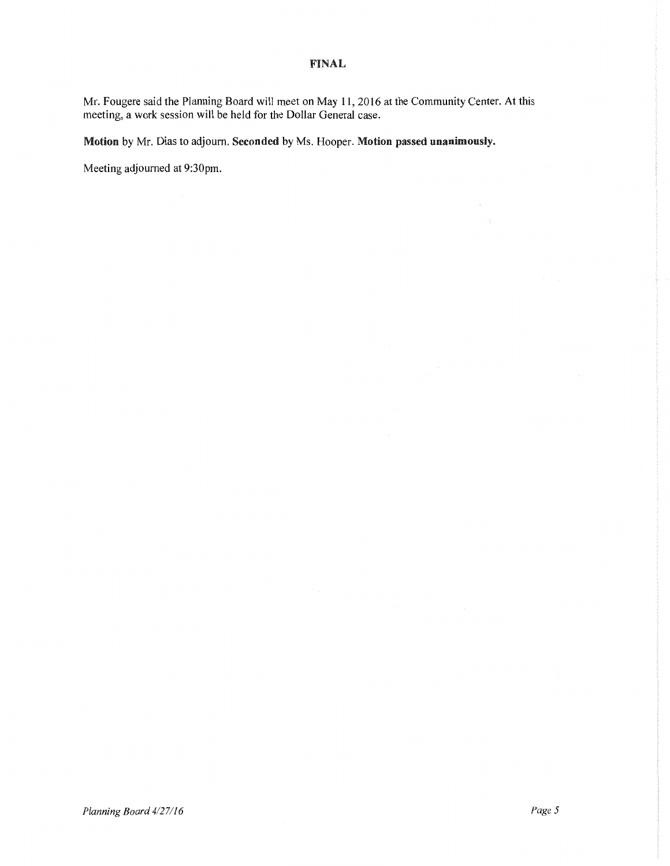### FINAL

Mr. Fougere said the Planning Board will meet on May 11, 2016 at the Community Center. At this meeting, a work session will be held for the Dollar General case.

Motion by Mr. Dias to adjourn. Seconded by Ms. Hooper. Motion passed unanimously.

Meeting adjourned at 9:30pm.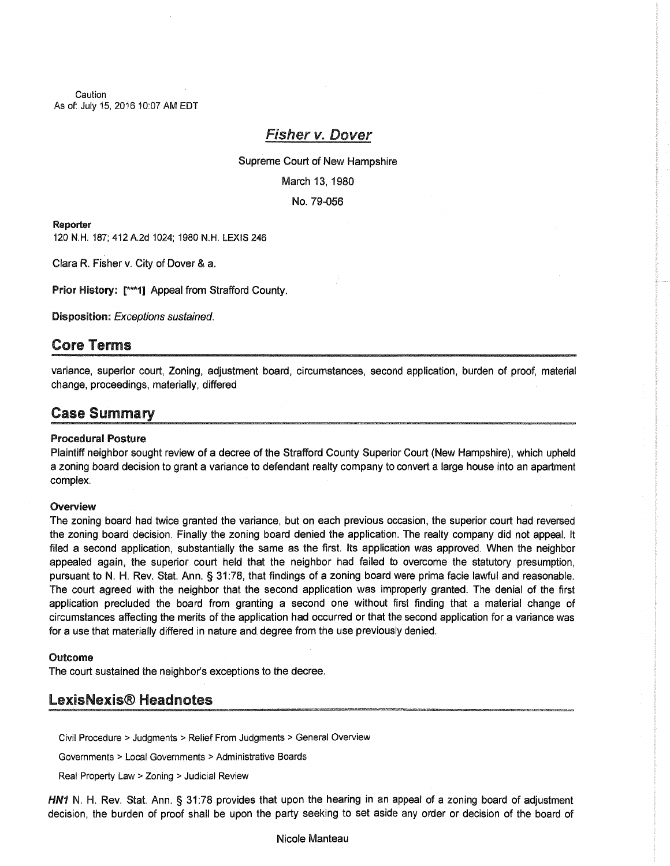**Caution** As of: July 15, 2016 10:07 AM EDT

# Fisher v. Dover

Supreme Court of New Hampshire March 13, 1980 No. 79-056

#### Reporter

120 N.H. 187; 412 A.2d 1024; 1980 N.H. LEXIS 246

Clara R. Fisher v. City of Dover & a.

Prior History: [\*\*\*1] Appeal from Strafford County.

Disposition: Exceptions sustained.

## Core Terms

variance, superior court, Zoning, adjustment board, circumstances, second application, burden of proof, material change, proceedings, materially, differed

## Case Summary

### Procedural Posture

Plaintiff neighbor sought review of a decree of the Strafford County Superior Court (New Hampshire), which upheld a zoning board decision to grant a variance to defendant realty company to convert a large house into an apartment complex.

#### Overview

The zoning board had twice granted the variance, but on each previous occasion, the superior court had reversed the zoning board decision. Finally the zoning board denied the application. The realty company did not appeal. It filed a second application, substantially the same as the first. Its application was approved. When the neighbor appealed again, the superior court held that the neighbor had failed to overcome the statutory presumption, pursuant to N. H. Rev. Stat. Ann. § 31:78, that findings of a zoning board were prima facie lawful and reasonable. The court agreed with the neighbor that the second application was improperly granted. The denial of the first application precluded the board from granting a second one without first finding that a material change of circumstances affecting the merits of the application had occurred or that the second application for a variance was for a use that materially differed in nature and degree from the use previously denied.

#### Outcome

The court sustained the neighbor's exceptions to the decree.

## LexisNexis® Headnotes

Civil Procedure > Judgments > Relief From Judgments > General Overview

Governments > Local Governments >Administrative Boards

Real Property Law > Zoning > Judicial Review

HN1 N. H. Rev. Stat. Ann. § 31:78 provides that upon the hearing in an appeal of a zoning board of adjustment decision, the burden of proof shall be upon the party seeking to set aside any order or decision of the board of

Nicole Manteau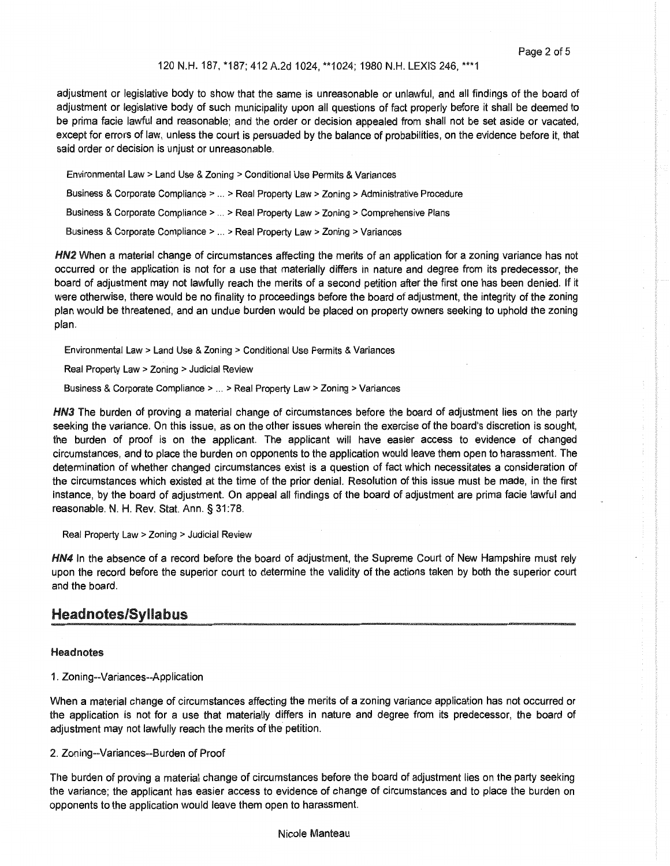#### 120 N.H. 187, \*187; 412 A.2d 1024, \*\*1024; 1980 N.H. LEXIS 246, \*\*\*1

adjustment or legislative body to show that the same is unreasonable or unlawful, and all findings of the board of adjustment or legislative body of such municipality upon all questions of fact properly before it shall be deemed to be prima facie lawful and reasonable; and the order or decision appealed from shall not be set aside or vacated, except for errors of law, unless the court is persuaded by the balance of probabilities, on the evidence before it, that said order or decision is unjust or unreasonable.

Environmental Law > Land Use & Zoning > Conditional Use Permits & Variances Business & Corporate Compliance > ... > Real Property Law > Zoning > Administrative Procedure Business & Corporate Compliance > ... > Real Property Law > Zoning > Comprehensive Plans Business & Corporate Compliance > ... > Real Property Law > Zoning > Variances

HN2 When a material change of circumstances affecting the merits of an application for a zoning variance has not occurred or the application is not for a use that materially differs in nature and degree from its predecessor, the board of adjustment may not lawfully reach the merits of a second petition after the first one has been denied. If it were otherwise, there would be no finality to proceedings before the board of adjustment, the integrity of the zoning plan would be threatened, and an undue burden would be placed on property owners seeking to uphold the zoning plan.

Environmental Law > Land Use & Zoning > Conditional Use Permits & Variances

Real Property Law > Zoning > Judicial Review

Business & Corporate Compliance > ... > Real Property Law > Zoning > Variances

HN3 The burden of proving a material change of circumstances before the board of adjustment lies on the party seeking the variance. On this issue, as on the other issues wherein the exercise of the board's discretion is sought, the burden of proof is on the applicant. The applicant will have easier access to evidence of changed circumstances, and to place the burden on opponents to the application would leave them open to harassment. The determination of whether changed circumstances exist is a question of fact which necessitates a consideration of the circumstances which existed at the time of the prior denial. Resolution of this issue must be made, in the first instance, by the board of adjustment. On appeal all findings of the board of adjustment are prima facie lawful and reasonable. N. H. Rev. Stat. Ann. § 31:78.

Real Property Law > Zoning > Judicial Review

HN4 In the absence of a record before the board of adjustment, the Supreme Court of New Hampshire must rely upon the record before the superior court to determine the validity of the actions taken by both the superior court and the board.

## Headnotes/Syllabus

#### **Head notes**

#### 1. Zoning--Variances--Application

When a material change of circumstances affecting the merits of a zoning variance application has not occurred or the application is not for a use that materially differs in nature and degree from its predecessor, the board of adjustment may not lawfully reach the merits of the petition.

#### 2. Zoning--Variances--Burden of Proof

The burden of proving a material change of circumstances before the board of adjustment lies on the party seeking the variance; the applicant has easier access to evidence of change of circumstances and to place the burden on opponents to the application would leave them open to harassment.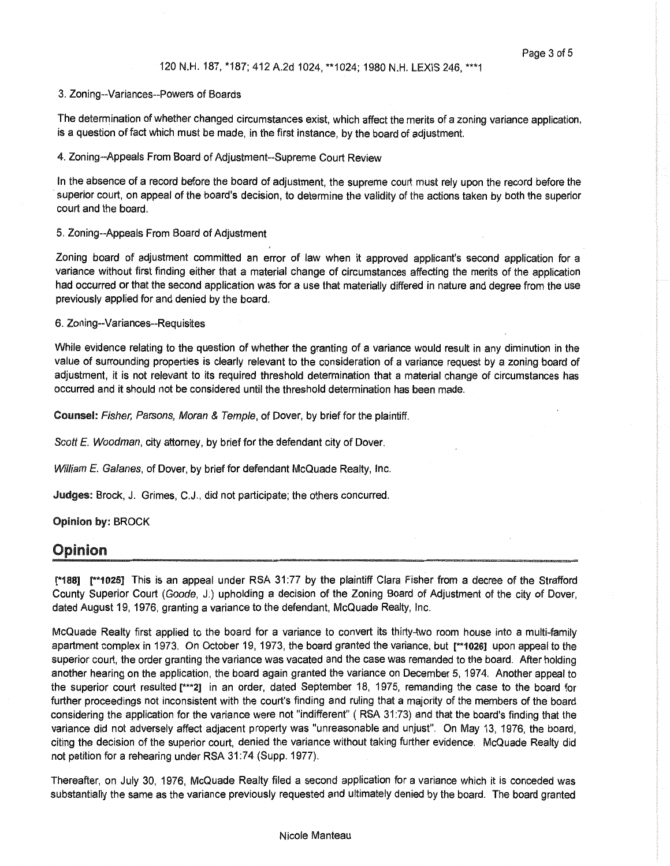#### 3. Zoning--Variances--Powers of Boards

The determination of whether changed circumstances exist, which affect the merits of a zoning variance application, is a question of fact which must be made, in the first instance, by the board of adjustment.

#### 4. Zoning--Appeals From Board of Adjustment--Supreme Court Review

In the absence of a record before the board of adjustment, the supreme court must rely upon the record before the superior court, on appeal of the board's decision, to determine the validity of the actions taken by both the superior court and the board.

#### 5. Zoning--Appeals From Board of Adjustment

Zoning board of adjustment committed an error of law when it approved applicant's second application for a variance without first finding either that a material change of circumstances affecting the merits of the application had occurred or that the second application was for a use that materially differed in nature and degree from the use previously applied for and denied by the board.

#### 6. Zoning--Variances--Requisites

While evidence relating to the question of whether the granting of a variance would result in any diminution in the value of surrounding properties is clearly relevant to the consideration of a variance request by a zoning board of adjustment, it is not relevant to its required threshold determination that a material change of circumstances has occurred and it should not be considered until the threshold determination has been made.

Counsel: Fisher, Parsons, Moran & Temple, of Dover, by brief for the plaintiff.

Scott *E. Woodman*, city attorney, by brief for the defendant city of Dover.

William *E. Galanes*, of Dover, by brief for defendant McQuade Realty, Inc.

Judges: Brock, J. Grimes, C.J., did not participate; the others concurred.

#### Opinion by: BROCK

## Opinion

["188] r\*1025] This is an appeal under RSA 31:77 by the plaintiff Clara Fisher from a decree of the Strafford County Superior Court (Goode, J.) upholding a decision of the Zoning Board of Adjustment of the city of Dover, dated August 19, 1976, granting a variance to the defendant, McQuade Realty, Inc.

McQuade Realty first applied to the board for a variance to convert its thirty-two room house into a multi-family apartment complex in 1973. On October 19, 1973, the board granted the variance, but [\*\*1026] upon appeal to the superior court, the order granting the variance was vacated and the case was remanded to the board. After holding another hearing on the application, the board again granted the variance on December 5, 1974. Another appeal to the superior court resulted [\*\*\*2] in an order, dated September 18, 1975, remanding the case to the board for further proceedings not inconsistent with the court's finding and ruling that a majority of the members of the board considering the application for the variance were not "indifferent" ( RSA 31:73) and that the board's finding that the variance did not adversely affect adjacent property was "unreasonable and unjust". On May 13, 1976, the board, citing the decision of the superior court, denied the variance without taking further evidence. McQuade Realty did not petition for a rehearing under RSA 31:74 (Supp. 1977).

Thereafter, on July 30, 1976, McQuade Realty filed a second application for a variance which it is conceded was substantially the same as the variance previously requested and ultimately denied by the board. The board granted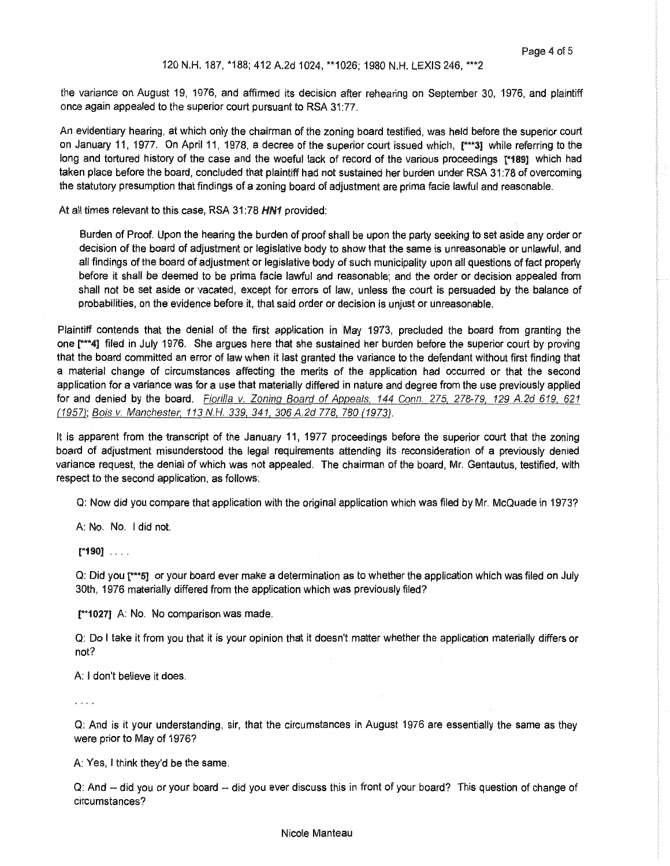#### 120 N.H. 187, \*188; 412 A.2d 1024, \*\*1026; 1980 N.H. LEXIS 246, \*\*\*2

the variance on August 19, 1976, and affirmed its decision after rehearing on September 30, 1976, and plaintiff once again appealed to the superior court pursuant to RSA 31:77.

An evidentiary hearing, at which only the chairman of the zoning board testified, was held before the superior court on January 11, 1977. On April 11, 1978, a decree of the superior court issued which, [\*\*\*3] while referring to the long and tortured history of the case and the woeful lack of record of the various proceedings [\*189] which had taken place before the board, concluded that plaintiff had not sustained her burden under RSA 31:78 of overcoming the statutory presumption that findings of a zoning board of adjustment are prima facie lawful and reasonable.

At all times relevant to this case, RSA 31:78 HN1 provided:

Burden of Proof. Upon the hearing the burden of proof shall be upon the party seeking to set aside any order or decision of the board of adjustment or legislative body to show that the same is unreasonable or unlawful, and all findings of the board of adjustment or legislative body of such municipality upon all questions of fact properly before it shall be deemed to be prima facie lawful and reasonable; and the order or decision appealed from shall not be set aside or vacated, except for errors of law, unless the court is persuaded by the balance of probabilities, on the evidence before it, that said order or decision is unjust or unreasonable.

Plaintiff contends that the denial of the first application in May 1973, precluded the board from granting the one r\*\*4] filed in July 1976. She argues here that she sustained her burden before the superior court by proving that the board committed an error of law when it last granted the variance to the defendant without first finding that a material change of circumstances affecting the merits of the application had occurred or that the second application for a variance was for a use that materially differed in nature and degree from the use previously applied for and denied by the board. Fiorilla v. Zoning Board of Appeals, 144 Conn. 275, 278-79, 129 A.2d 619, 621 (1957); Bois v. Manchester. 113 N.H. 339, 341, 306 A.2d 778, 780 (1973).

It is apparent from the transcript of the January 11, 1977 proceedings before the superior court that the zoning board of adjustment misunderstood the legal requirements attending its reconsideration of a previously denied variance request, the denial of which was not appealed. The chairman of the board, Mr. Gentautus, testified, with respect to the second application, as follows:

Q: Now did you compare that application with the original application which was filed by Mr. McQuade in 1973?

A: No. No. I did not.

[\*190] ....

Q: Did you [\*\*\*51 or your board ever make a determination as to whether the application which was filed on July 30th, 1976 materially differed from the application which was previously filed?

[\*\*1027] A: No. No comparison was made.

Q: Do I take it from you that it is your opinion that it doesn't matter whether the application materially differs or not?

A: I don't believe it does.

 $\cdot$   $\cdot$   $\cdot$ 

Q: And is it your understanding, sir, that the circumstances in August 1976 are essentially the same as they were prior to May of 1976?

A: Yes, I think they'd be the same.

Q: And -- did you or your board -- did you ever discuss this in front of your board? This question of change of circumstances?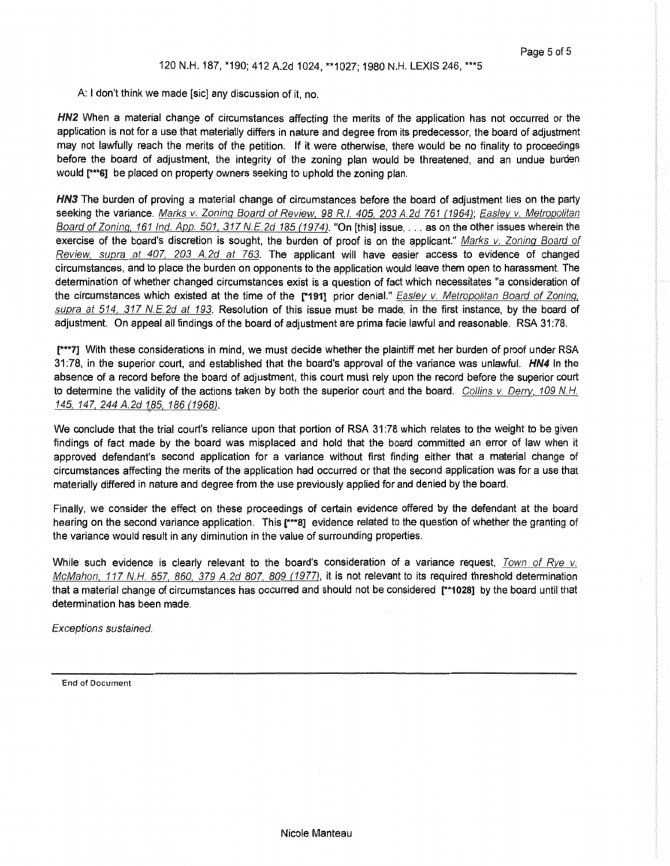A: I don't think we made [sic] any discussion of it, no.

HN2 When a material change of circumstances affecting the merits of the application has not occurred or the application is not for a use that materially differs in nature and degree from its predecessor, the board of adjustment may not lawfully reach the merits of the petition. If it were otherwise, there would be no finality to proceedings before the board of adjustment, the integrity of the zoning plan would be threatened, and an undue burden would [\*\*\*6] be placed on property owners seeking to uphold the zoning plan.

HN3 The burden of proving a material change of circumstances before the board of adjustment lies on the party seeking the variance. Marks v. Zoning Board of Review, 98 R.I. 405, 203 A.2d 761 (1964); Easley v. Metropolitan Board of Zoning, 161 Ind. App. 501, 317 N.E.2d 185 (1974). "On [this] issue, ... as on the other issues wherein the exercise of the board's discretion is sought, the burden of proof is on the applicant." Marks v. Zoning Board of Review, supra at 407, 203 A.2d at 763. The applicant will have easier access to evidence of changed circumstances, and to place the burden on opponents to the application would leave them open to harassment. The determination of whether changed circumstances exist is a question of fact which necessitates "a consideration of the circumstances which existed at the time of the [\*191] prior denial." Easley v. Metropolitan Board of Zoning, supra at 514, 317 N.E.2d at 193. Resolution of this issue must be made, in the first instance, by the board of adjustment. On appeal all findings of the board of adjustment are prima facie lawful and reasonable. RSA 31:78.

r\*\*7] With these considerations in mind, we must decide whether the plaintiff met her burden of proof under RSA 31:78, in the superior court, and established that the board's approval of the variance was unlawful. HN4 In the absence of a record before the board of adjustment, this court must rely upon the record before the superior court to determine the validity of the actions taken by both the superior court and the board. Collins v. Derry, 109 N.H. 145, 147, 244 A.2d 185, 186 (1968).

We conclude that the trial court's reliance upon that portion of RSA 31:78 which relates to the weight to be given findings of fact made by the board was misplaced and hold that the board committed an error of law when it approved defendant's second application for a variance without first finding either that a material change of circumstances affecting the merits of the application had occurred or that the second application was for a use that materially differed in nature and degree from the use previously applied for and denied by the board.

Finally, we consider the effect on these proceedings of certain evidence offered by the defendant at the board hearing on the second variance application. This [\*\*\*8] evidence related to the question of whether the granting of the variance would result in any diminution in the value of surrounding properties.

While such evidence is clearly relevant to the board's consideration of a variance request, Town of Rye v. McMahon, 117 N.H. 857, 860, 379 A.2d 807, 809 (1977), it is not relevant to its required threshold determination that a material change of circumstances has occurred and should not be considered [\*\*1028] by the board until that determination has been made.

Exceptions sustained.

End of Document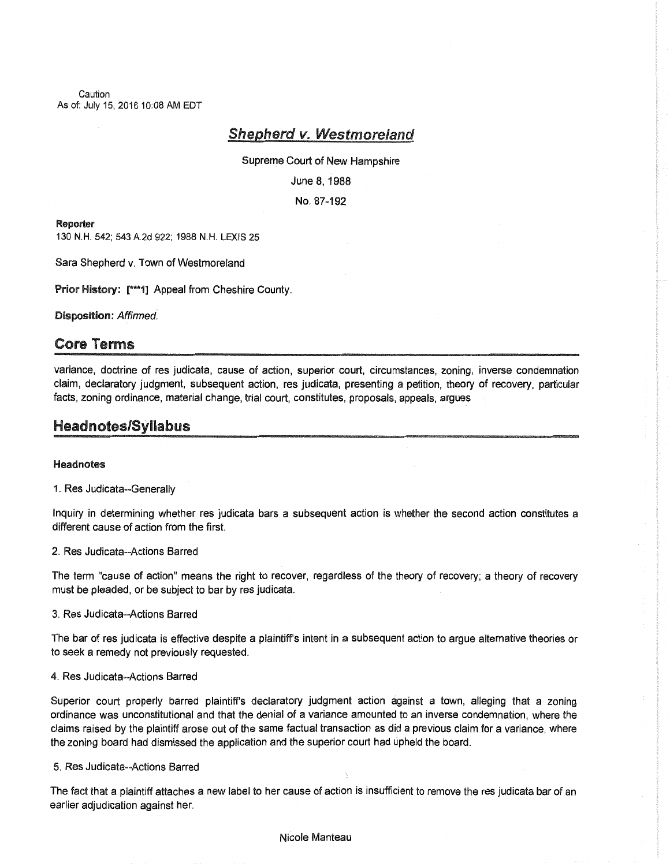Caution As of: July 15, 2016 10:08 AM EDT

## Shepherd v. Westmoreland

Supreme Court of New Hampshire

June 8, 1988

No. 87-192

#### Reporter

130 N.H. 542; 543 A.2d 922; 1988 N.H. LEXIS 25

Sara Shepherd v. Town of Westmoreland

Prior History: [ \*\*\* 1] Appeal from Cheshire County.

Disposition: Affirmed.

## Core Terms

variance, doctrine of res judicata, cause of action, superior court, circumstances, zoning, inverse condemnation claim, declaratory judgment, subsequent action, res judicata, presenting a petition, theory of recovery, particular facts, zoning ordinance, material change, trial court, constitutes, proposals, appeals, argues

## Head notes/Syllabus

#### **Head notes**

1. Res Judicata--Generally

Inquiry in determining whether res judicata bars a subsequent action is whether the second action constitutes a different cause of action from the first.

2. Res Judicata--Actions Barred

The term "cause of action" means the right to recover, regardless of the theory of recovery; a theory of recovery must be pleaded, or be subject to bar by res judicata.

3. Res Judicata--Actions Barred

The bar of res judicata is effective despite a plaintiffs intent in a subsequent action to argue alternative theories or to seek a remedy not previously requested.

#### 4. Res Judicata--Actions Barred

Superior court properly barred plaintiffs declaratory judgment action against a town, alleging that a zoning ordinance was unconstitutional and that the denial of a variance amounted to an inverse condemnation, where the claims raised by the plaintiff arose out of the same factual transaction as did a previous claim for a variance, where the zoning board had dismissed the application and the superior court had upheld the board.

### 5. Res Judicata--Actions Barred

The fact that a plaintiff attaches a new label to her cause of action is insufficient to remove the res judicata bar of an earlier adjudication against her.

#### Nicole Manteau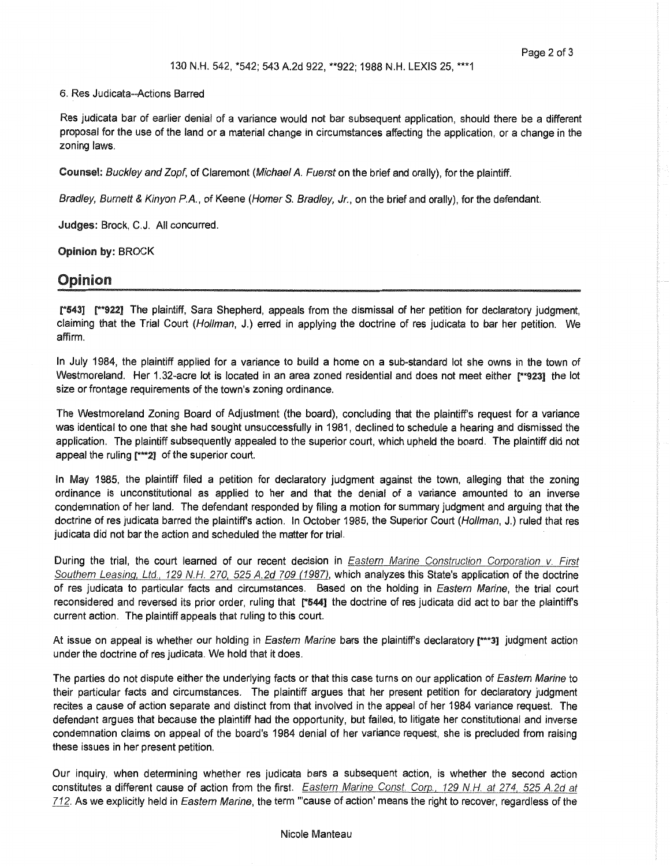#### 6. Res Judicata--Actions Barred

Res judicata bar of earlier denial of a variance would not bar subsequent application, should there be a different proposal for the use of the land or a material change in circumstances affecting the application, or a change in the zoning laws.

Counsel: Buckley and Zopf, of Claremont (Michael A. Fuerst on the brief and orally), for the plaintiff.

Bradley, Burnett & Kinyon P.A., of Keene (Homer S. Bradley, Jr., on the brief and orally), for the defendant.

Judges: Brock, C.J. All concurred.

Opinion by: BROCK

### Opinion

r543] r\*922] The plaintiff, Sara Shepherd, appeals from the dismissal of her petition for declaratory judgment, claiming that the Trial Court (Hollman, J.) erred in applying the doctrine of res judicata to bar her petition. We affirm.

In July 1984, the plaintiff applied for a variance to build a home on a sub-standard lot she owns in the town of Westmoreland. Her 1.32-acre lot is located in an area zoned residential and does not meet either r"923] the lot size or frontage requirements of the town's zoning ordinance.

The Westmoreland Zoning Board of Adjustment (the board), concluding that the plaintiff's request for a variance was identical to one that she had sought unsuccessfully in 1981, declined to schedule a hearing and dismissed the application. The plaintiff subsequently appealed to the superior court, which upheld the board. The plaintiff did not appeal the ruling [\*\*\*2] of the superior court.

In May 1985, the plaintiff filed a petition for declaratory judgment against the town, alleging that the zoning ordinance is unconstitutional as applied to her and that the denial of a variance amounted to an inverse condemnation of her land. The defendant responded by filing a motion for summary judgment and arguing that the doctrine of res judicata barred the plaintiff's action. In October 1985, the Superior Court (Hollman, J.) ruled that res judicata did not bar the action and scheduled the matter for trial.

During the trial, the court learned of our recent decision in *Eastern Marine Construction Corporation v. First* Southern Leasing, Ltd., 129 N.H. 270, 525 A.2d 709 (1987), which analyzes this State's application of the doctrine of res judicata to particular facts and circumstances. Based on the holding in Eastern Marine, the trial court reconsidered and reversed its prior order, ruling that r5441 the doctrine of res judicata did act to bar the plaintiff's current action. The plaintiff appeals that ruling to this court.

At issue on appeal is whether our holding in Eastern Marine bars the plaintiff's declaratory [\*\*\*3] judgment action under the doctrine of res judicata. We hold that it does.

The parties do not dispute either the underlying facts or that this case turns on our application of Eastern Marine to their particular facts and circumstances. The plaintiff argues that her present petition for declaratory judgment recites a cause of action separate and distinct from that involved in the appeal of her 1984 variance request. The defendant argues that because the plaintiff had the opportunity, but failed, to litigate her constitutional and inverse condemnation claims on appeal of the board's 1984 denial of her variance request, she is precluded from raising these issues in her present petition.

Our inquiry, when determining whether res judicata bars a subsequent action, is whether the second action constitutes a different cause of action from the first. Eastern Marine Const. Corp., 129 N.H. at 274, 525 A.2d at 712. As we explicitly held in Eastern Marine, the term "cause of action' means the right to recover, regardless of the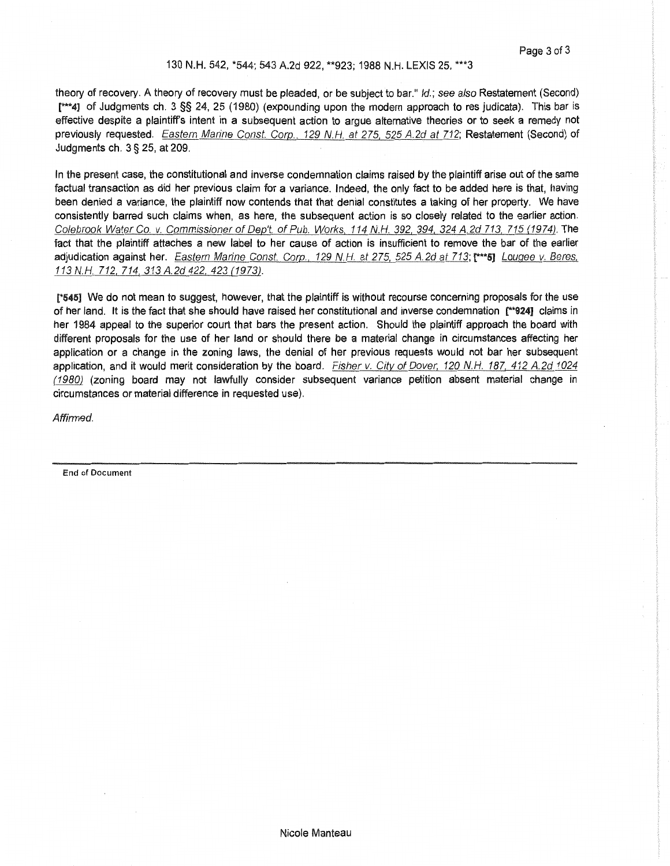#### 130 N.H. 542, \*544; 543 A.2d 922, \*\*923; 1988 N.H. LEXIS 25, \*\*\*3

theory of recovery. A theory of recovery must be pleaded, or be subject to bar." /d.; see also Restatement (Second) r\*\*4J of Judgments ch. 3 §§ 24, 25 (1980) (expounding upon the modern approach to res judicata). This bar is effective despite a plaintiff's intent in a subsequent action to argue alternative theories or to seek a remedy not previously requested. Eastern Marine Const. Corp., 129 N.H. at 275, 525 A.2d at 712; Restatement (Second) of Judgments ch. 3 § 25, at 209.

In the present case, the constitutional and inverse condemnation claims raised by the plaintiff arise out of the same factual transaction as did her previous claim for a variance. Indeed, the only fact to be added here is that, having been denied a variance, the plaintiff now contends that that denial constitutes a taking of her property. We have consistently barred such claims when, as here, the subsequent action is so closely related to the earlier action. Colebrook Water Co. v. Commissioner of Dep't. of Pub. Works, 114 N.H. 392, 394, 324 A.2d 713, 715 (1974). The fact that the plaintiff attaches a new label to her cause of action is insufficient to remove the bar of the earlier adjudication against her. Eastern Marine Const. Corp., 129 N.H. at 275, 525 A.2d at 713; r\*\*\*5] Lougee v. Beres, 113 N.H. 712, 714, 313 A.2d 422, 423 (1973).

[\*545] We do not mean to suggest, however, that the plaintiff is without recourse concerning proposals for the use of her land. It is the fact that she should have raised her constitutional and inverse condemnation r\*924] claims in her 1984 appeal to the superior court that bars the present action. Should the plaintiff approach the board with different proposals for the use of her land or should there be a material change in circumstances affecting her application or a change in the zoning laws, the denial of her previous requests would not bar her subsequent application, and it would merit consideration by the board. Fisher v. City of Dover, 120 N.H. 187, 412 A.2d 1024 (1980) (zoning board may not lawfully consider subsequent variance petition absent material change in circumstances or material difference in requested use).

Affirmed.

End of Document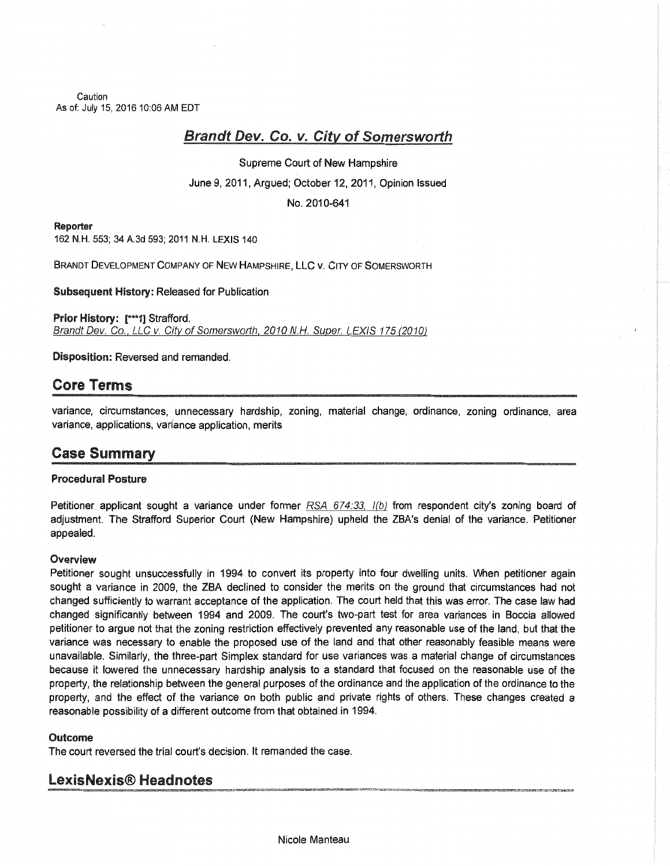Caution As of: July 15, 2016 10:06 AM EDT

# Brandt Dev. Co. v. City of Somersworth

Supreme Court of New Hampshire

June 9, 2011, Argued; October 12, 2011, Opinion Issued

No. 201 0-641

#### Reporter

162 N.H. 553; 34 A.3d 593; 2011 N.H. LEXIS 140

BRANDT DEVELOPMENT COMPANY OF NEW HAMPSHIRE, LLC V. CITY OF SOMERSWORTH

Subsequent History: Released for Publication

Prior History: [\*\*\*1] Strafford. Brandt Dev. Co., LLC v. City of Somersworth, 2010 N.H. Super. LEXIS 175 (2010)

Disposition: Reversed and remanded.

## Core Terms

variance, circumstances, unnecessary hardship, zoning, material change, ordinance, zoning ordinance, area variance, applications, variance application, merits

# Case Summary

### Procedural Posture

Petitioner applicant sought a variance under former  $RSA$   $674:33$ ,  $I(b)$  from respondent city's zoning board of adjustment. The Strafford Superior Court (New Hampshire) upheld the ZBA's denial of the variance. Petitioner appealed.

### **Overview**

Petitioner sought unsuccessfully in 1994 to convert its property into four dwelling units. When petitioner again sought a variance in 2009, the ZBA declined to consider the merits on the ground that circumstances had not changed sufficiently to warrant acceptance of the application. The court held that this was error. The case law had changed significantly between 1994 and 2009. The court's two-part test for area variances in Boccia allowed petitioner to argue not that the zoning restriction effectively prevented any reasonable use of the land, but that the variance was necessary to enable the proposed use of the land and that other reasonably feasible means were unavailable. Similarly, the three-part Simplex standard for use variances was a material change of circumstances because it lowered the unnecessary hardship analysis to a standard that focused on the reasonable use of the property, the relationship between the general purposes of the ordinance and the application of the ordinance to the property, and the effect of the variance on both public and private rights of others. These changes created a reasonable possibility of a different outcome from that obtained in 1994.

### **Outcome**

The court reversed the trial court's decision. It remanded the case.

## LexisNexis® Headnotes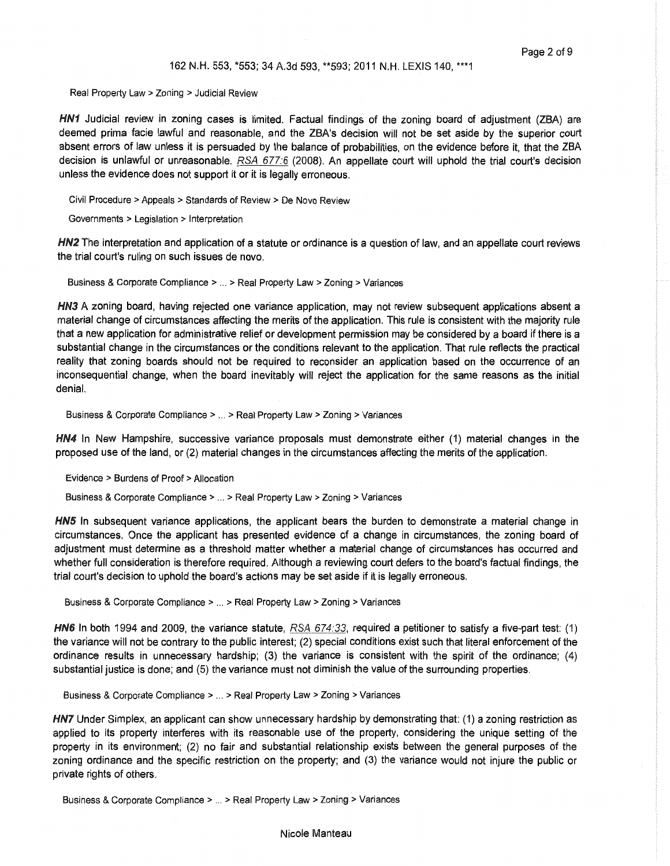#### 162 N.H. 553, \*553; 34 A.3d 593, \*\*593; 2011 N.H. LEXIS 140, \*\*\*1

Real Property Law > Zoning > Judicial Review

HN1 Judicial review in zoning cases is limited. Factual findings of the zoning board of adjustment (ZBA) are deemed prima facie lawful and reasonable, and the ZBA's decision will not be set aside by the superior court absent errors of law unless it is persuaded by the balance of probabilities, on the evidence before it, that the ZBA decision is unlawful or unreasonable. RSA 677:6 (2008). An appellate court will uphold the trial court's decision unless the evidence does not support it or it is legally erroneous.

Civil Procedure > Appeals > Standards of Review > De Novo Review

Governments > Legislation > Interpretation

HN2 The interpretation and application of a statute or ordinance is a question of law, and an appellate court reviews the trial court's ruling on such issues de novo.

Business & Corporate Compliance > ... > Real Property Law > Zoning > Variances

HN3 A zoning board, having rejected one variance application, may not review subsequent applications absent a material change of circumstances affecting the merits of the application. This rule is consistent with the majority rule that a new application for administrative relief or development permission may be considered by a board if there is a substantial change in the circumstances or the conditions relevant to the application. That rule reflects the practical reality that zoning boards should not be required to reconsider an application based on the occurrence of an inconsequential change, when the board inevitably will reject the application for the same reasons as the initial denial.

Business & Corporate Compliance > ... > Real Property Law > Zoning > Variances

HN4 In New Hampshire, successive variance proposals must demonstrate either (1) material changes in the proposed use of the land, or (2) material changes in the circumstances affecting the merits of the application.

Evidence > Burdens of Proof > Allocation

Business & Corporate Compliance > ... > Real Property Law > Zoning > Variances

HN5 In subsequent variance applications, the applicant bears the burden to demonstrate a material change in circumstances. Once the applicant has presented evidence of a change in circumstances, the zoning board of adjustment must determine as a threshold matter whether a material change of circumstances has occurred and whether full consideration is therefore required. Although a reviewing court defers to the board's factual findings, the trial court's decision to uphold the board's actions may be set aside if it is legally erroneous.

Business & Corporate Compliance > ... > Real Property Law > Zoning > Variances

HN6 In both 1994 and 2009, the variance statute, RSA 674:33, required a petitioner to satisfy a five-part test: (1) the variance will not be contrary to the public interest; (2) special conditions exist such that literal enforcement of the ordinance results in unnecessary hardship; (3) the variance is consistent with the spirit of the ordinance; (4) substantial justice is done; and (5) the variance must not diminish the value of the surrounding properties.

Business & Corporate Compliance > ... > Real Property Law > Zoning > Variances

HN7 Under Simplex, an applicant can show unnecessary hardship by demonstrating that: (1) a zoning restriction as applied to its property interferes with its reasonable use of the property, considering the unique setting of the property in its environment; (2) no fair and substantial relationship exists between the general purposes of the zoning ordinance and the specific restriction on the property; and (3) the variance would not injure the public or private rights of others.

Business & Corporate Compliance > ... > Real Property Law > Zoning > Variances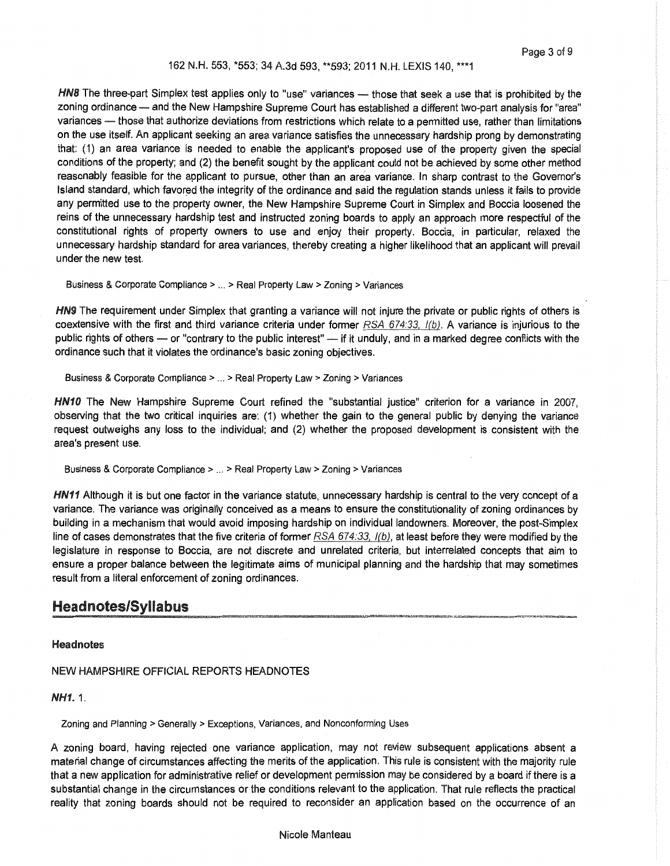#### 162 N.H. 553, \*553; 34 A.3d 593, \*\*593; 2011 N.H. LEXIS 140, \*\*\*1

HN8 The three-part Simplex test applies only to "use" variances - those that seek a use that is prohibited by the zoning ordinance - and the New Hampshire Supreme Court has established a different two-part analysis for "area" variances - those that authorize deviations from restrictions which relate to a permitted use, rather than limitations on the use itself. An applicant seeking an area variance satisfies the unnecessary hardship prong by demonstrating that: (1) an area variance is needed to enable the applicant's proposed use of the property given the special conditions of the property; and (2) the benefit sought by the applicant could not be achieved by some other method reasonably feasible for the applicant to pursue, other than an area variance. In sharp contrast to the Governor's Island standard, which favored the integrity of the ordinance and said the regulation stands unless it fails to provide any permitted use to the property owner, the New Hampshire Supreme Court in Simplex and Boccia loosened the reins of the unnecessary hardship test and instructed zoning boards to apply an approach more respectful of the constitutional rights of property owners to use and enjoy their property. Boccia, in particular, relaxed the unnecessary hardship standard for area variances, thereby creating a higher likelihood that an applicant will prevail under the new test.

Business & Corporate Compliance > ... > Real Property Law > Zoning > Variances

HN9 The requirement under Simplex that granting a variance will not injure the private or public rights of others is coextensive with the first and third variance criteria under former  $RSA 674:33, 1(b)$ . A variance is injurious to the public rights of others - or "contrary to the public interest" - if it unduly, and in a marked degree conflicts with the ordinance such that it violates the ordinance's basic zoning objectives.

Business & Corporate Compliance > ... > Real Property Law > Zoning > Variances

HN10 The New Hampshire Supreme Court refined the "substantial justice" criterion for a variance in 2007, observing that the two critical inquiries are: (1) whether the gain to the general public by denying the variance request outweighs any loss to the individual; and (2) whether the proposed development is consistent with the area's present use.

Business & Corporate Compliance > ... > Real Property Law > Zoning > Variances

HN11 Although it is but one factor in the variance statute, unnecessary hardship is central to the very concept of a variance. The variance was originally conceived as a means to ensure the constitutionality of zoning ordinances by building in a mechanism that would avoid imposing hardship on individual landowners. Moreover, the post-Simplex line of cases demonstrates that the five criteria of former  $RSA$   $674.33$ ,  $I(b)$ , at least before they were modified by the legislature in response to Boccia, are not discrete and unrelated criteria, but interrelated concepts that aim to ensure a proper balance between the legitimate aims of municipal planning and the hardship that may sometimes result from a literal enforcement of zoning ordinances.

## **Headnotes/Syllabus**

#### **Headnotes**

NEW HAMPSHIRE OFFICIAL REPORTS HEADNOTES

NH1.1.

Zoning and Planning > Generally > Exceptions, Variances, and Nonconforming Uses

A zoning board, having rejected one variance application, may not review subsequent applications absent a material change of circumstances affecting the merits of the application. This rule is consistent with the majority rule that a new application for administrative relief or development permission may be considered by a board if there is a substantial change in the circumstances or the conditions relevant to the application. That rule reflects the practical reality that zoning boards should not be required to reconsider an application based on the occurrence of an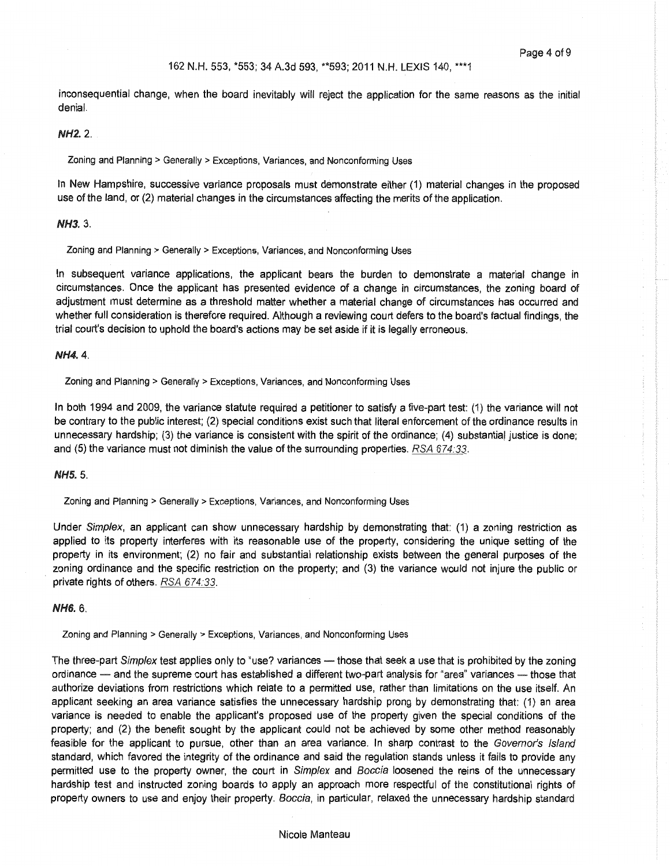inconsequential change, when the board inevitably will reject the application for the same reasons as the initial denial.

### NH2.2.

Zoning and Planning > Generally > Exceptions, Variances, and Nonconforming Uses

In New Hampshire, successive variance proposals must demonstrate either (1) material changes in the proposed use of the land, or {2) material changes in the circumstances affecting the merits of the application.

#### NH3.3.

Zoning and Planning > Generally > Exceptions, Variances, and Nonconforming Uses

In subsequent variance applications, the applicant bears the burden to demonstrate a material change in circumstances. Once the applicant has presented evidence of a change in circumstances, the zoning board of adjustment must determine as a threshold matter whether a material change of circumstances has occurred and whether full consideration is therefore required. Although a reviewing court defers to the board's factual findings, the trial court's decision to uphold the board's actions may be set aside if it is legally erroneous.

#### NH4.4.

Zoning and Planning > Generally > Exceptions, Variances, and Nonconforming Uses

In both 1994 and 2009, the variance statute required a petitioner to satisfy a five-part test: (1) the variance will not be contrary to the public interest; (2) special conditions exist such that literal enforcement of the ordinance results in unnecessary hardship;  $(3)$  the variance is consistent with the spirit of the ordinance;  $(4)$  substantial justice is done; and (5) the variance must not diminish the value of the surrounding properties. RSA 674:33.

#### NH5.5.

Zoning and Planning > Generally > Exceptions, Variances, and Nonconforming Uses

Under Simplex, an applicant can show unnecessary hardship by demonstrating that: (1) a zoning restriction as applied to its property interferes with its reasonable use of the property, considering the unique setting of the property in its environment; (2) no fair and substantial relationship exists between the general purposes of the zoning ordinance and the specific restriction on the property; and (3) the variance would not injure the public or private rights of others. RSA 674.33.

#### NH6.6.

Zoning and Planning > Generally > Exceptions, Variances, and Nonconforming Uses

The three-part Simplex test applies only to "use? variances - those that seek a use that is prohibited by the zoning ordinance - and the supreme court has established a different two-part analysis for "area" variances - those that authorize deviations from restrictions which relate to a permitted use, rather than limitations on the use itself. An applicant seeking an area variance satisfies the unnecessary hardship prong by demonstrating that: (1) an area variance is needed to enable the applicant's proposed use of the property given the special conditions of the property; and (2) the benefit sought by the applicant could not be achieved by some other method reasonably feasible for the applicant to pursue, other than an area variance. In sharp contrast to the Governor's Island standard, which favored the integrity of the ordinance and said the regulation stands unless it fails to provide any permitted use to the property owner, the court in Simplex and Boccia loosened the reins of the unnecessary hardship test and instructed zoning boards to apply an approach more respectful of the constitutional rights of property owners to use and enjoy their property. Boccia, in particular, relaxed the unnecessary hardship standard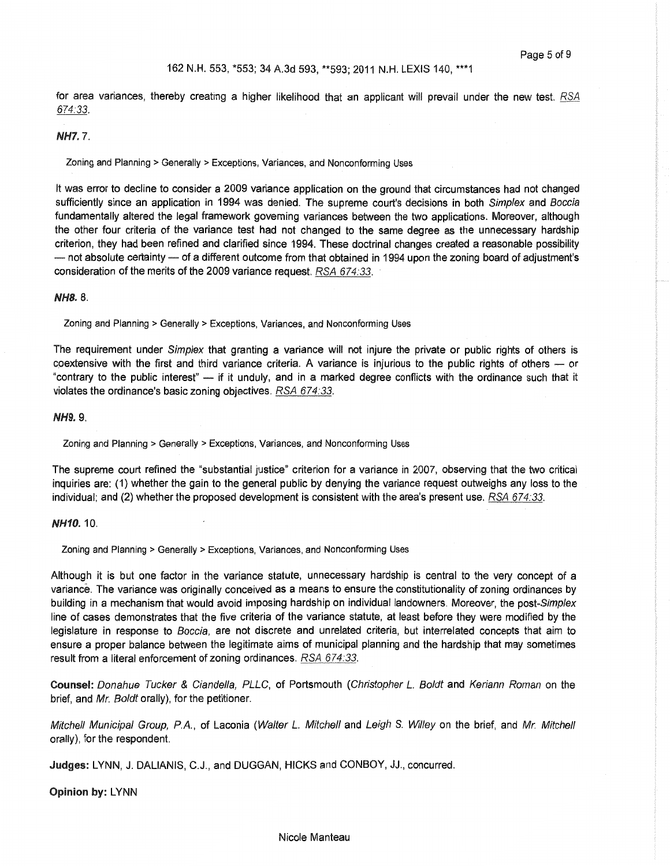for area variances, thereby creating a higher likelihood that an applicant will prevail under the new test. RSA 674:33.

#### NH7. 7.

Zoning and Planning > Generally > Exceptions, Variances, and Nonconforming Uses

It was error to decline to consider a 2009 variance application on the ground that circumstances had not changed sufficiently since an application in 1994 was denied. The supreme court's decisions in both Simplex and Boccia fundamentally altered the legal framework governing variances between the two applications. Moreover, although the other four criteria of the variance test had not changed to the same degree as the unnecessary hardship criterion, they had been refined and clarified since 1994. These doctrinal changes created a reasonable possibility - not absolute certainty - of a different outcome from that obtained in 1994 upon the zoning board of adjustment's consideration of the merits of the 2009 variance request. RSA 674:33.

NH8.8.

Zoning and Planning > Generally > Exceptions, Variances, and Nonconforming Uses

The requirement under Simplex that granting a variance will not injure the private or public rights of others is coextensive with the first and third variance criteria. A variance is injurious to the public rights of others - or "contrary to the public interest" — if it unduly, and in a marked degree conflicts with the ordinance such that it violates the ordinance's basic zoning objectives. RSA 674:33.

#### NH9.9.

Zoning and Planning > Generally > Exceptions, Variances, and Nonconforming Uses

The supreme court refined the "substantial justice" criterion for a variance in 2007, observing that the two critical inquiries are: (1) whether the gain to the general public by denying the variance request outweighs any loss to the individual; and (2) whether the proposed development is consistent with the area's present use. RSA 674:33.

#### NH10. 10.

Zoning and Planning > Generally > Exceptions, Variances, and Nonconforming Uses

Although it is but one factor in the variance statute, unnecessary hardship is central to the very concept of a variance. The variance was originally conceived as a means to ensure the constitutionality of zoning ordinances by building in a mechanism that would avoid imposing hardship on individual landowners. Moreover, the post-Simplex line of cases demonstrates that the five criteria of the variance statute, at least before they were modified by the legislature in response to Boccia, are not discrete and unrelated criteria, but interrelated concepts that aim to ensure a proper balance between the legitimate aims of municipal planning and the hardship that may sometimes result from a literal enforcement of zoning ordinances. RSA 674:33.

Counsel: Donahue Tucker & Ciandella, PLLC, of Portsmouth (Christopher *L.* Boldt and Keriann Roman on the brief, and Mr. Boldt orally), for the petitioner.

Mitchell Municipal Group, P.A., of Laconia (Walter *L.* Mitchell and Leigh S. Willey on the brief, and Mr. Mitchell orally), for the respondent.

Judges: LYNN, J. DALIANIS, C.J., and DUGGAN, HICKS and CONBOY, JJ., concurred.

Opinion by: LYNN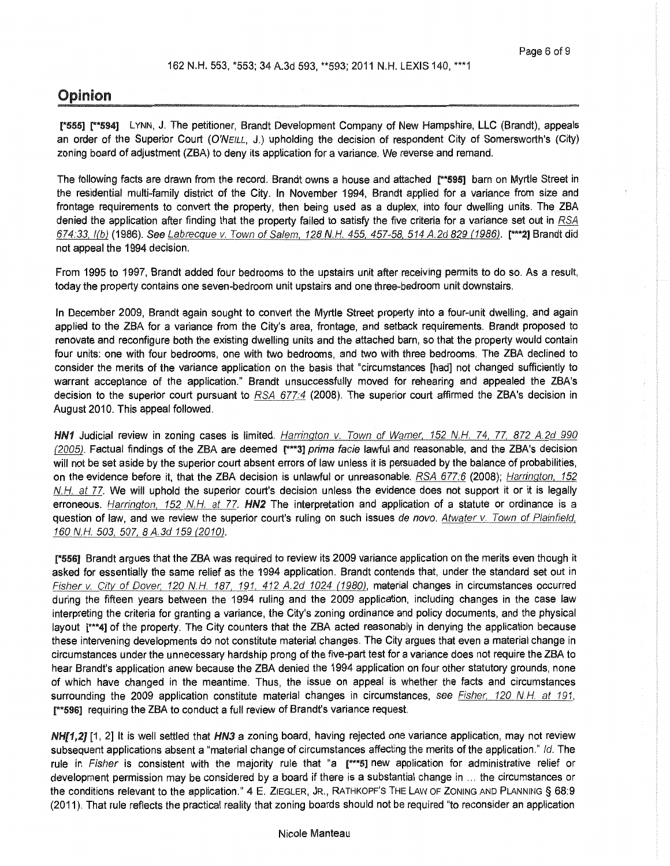## Opinion

[\*555] r\*594] LYNN, J. The petitioner, Brandt Development Company of New Hampshire, LLC (Brandt), appeals an order of the Superior Court (O'NEILL, J.) upholding the decision of respondent City of Somersworth's (City) zoning board of adjustment (ZBA) to deny its application for a variance. We reverse and remand.

The following facts are drawn from the record. Brandt owns a house and attached [\*\*595] barn on Myrtle Street in the residential multi-family district of the City. In November 1994, Brandt applied for a variance from size and frontage requirements to convert the property, then being used as a duplex, into four dwelling units. The ZBA denied the application after finding that the property failed to satisfy the five criteria for a variance set out in RSA 674:33, I(b) (1986). See Labrecque v. Town of Salem, 128 N.H. 455, 457-58, 514 A.2d 829 (1986). [\*\*\*2] Brandt did not appeal the 1994 decision.

From 1995 to 1997, Brandt added four bedrooms to the upstairs unit after receiving permits to do so. As a result, today the property contains one seven-bedroom unit upstairs and one three-bedroom unit downstairs.

In December 2009, Brandt again sought to convert the Myrtle Street property into a four-unit dwelling, and again applied to the ZBA for a variance from the City's area, frontage, and setback requirements. Brandt proposed to renovate and reconfigure both the existing dwelling units and the attached barn, so that the property would contain four units: one with four bedrooms, one with two bedrooms, and two with three bedrooms. The ZBA declined to consider the merits of the variance application on the basis that "circumstances [had] not changed sufficiently to warrant acceptance of the application." Brandt unsuccessfully moved for rehearing and appealed the ZBA's decision to the superior court pursuant to RSA 677:4 (2008). The superior court affirmed the ZBA's decision in August 2010. This appeal followed.

HN1 Judicial review in zoning cases is limited. Harrington v. Town of Warner, 152 N.H. 74, 77, 872 A.2d 990 (2005). Factual findings of the ZBA are deemed [\*\*\*3] prima facie lawful and reasonable, and the ZBA's decision will not be set aside by the superior court absent errors of law unless it is persuaded by the balance of probabilities, on the evidence before it, that the ZBA decision is unlawful or unreasonable. RSA 677:6 (2008); Harrington, 152 N.H. at 77. We will uphold the superior court's decision unless the evidence does not support it or it is legally erroneous. Harrington, 152 N.H. at 77. **HN2** The interpretation and application of a statute or ordinance is a question of law, and we review the superior court's ruling on such issues de novo. Atwater v. Town of Plainfield, 160 N.H. 503, 507, 8 A. 3d 159 (2010).

[\*556] Brandt argues that the ZBA was required to review its 2009 variance application on the merits even though it asked for essentially the same relief as the 1994 application. Brandt contends that, under the standard set out in Fisher v. Citv of Dover, 120 N.H. 187, 191, 412 A.2d 1024 (1980), material changes in circumstances occurred during the fifteen years between the 1994 ruling and the 2009 application, including changes in the case law interpreting the criteria for granting a variance, the City's zoning ordinance and policy documents, and the physical layout [\*\*\*4] of the property. The City counters that the ZBA acted reasonably in denying the application because these intervening developments do not constitute material changes. The City argues that even a material change in circumstances under the unnecessary hardship prong of the five-part test for a variance does not require the ZBA to hear Brandt's application anew because the ZBA denied the 1994 application on four other statutory grounds, none of which have changed in the meantime. Thus, the issue on appeal is whether the facts and circumstances surrounding the 2009 application constitute material changes in circumstances, see Fisher, 120 N.H. at 191, [\*\*596] requiring the ZBA to conduct a full review of Brandt's variance request.

NH[1,2] [1, 2] It is well settled that HN3 a zoning board, having rejected one variance application, may not review subsequent applications absent a "material change of circumstances affecting the merits of the application." */d.* The rule in Fisher is consistent with the majority rule that "a [\*\*\*5] new application for administrative relief or development permission may be considered by a board if there is a substantial change in ... the circumstances or the conditions relevant to the application." 4 E. ZIEGLER, JR., RATHKOPF'S THE LAW OF ZONING AND PLANNING§ 68:9 (2011). That rule reflects the practical reality that zoning boards should not be required "to reconsider an application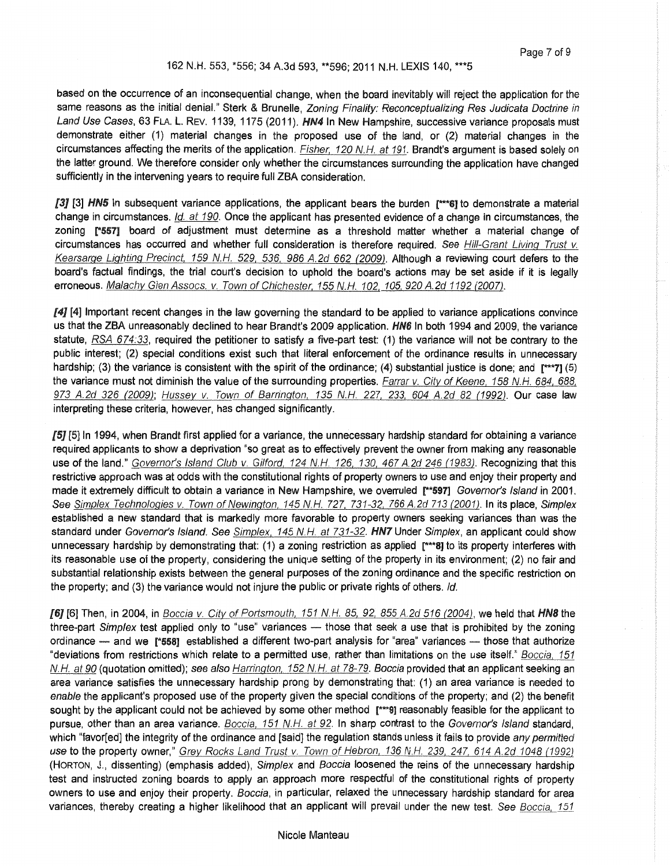#### 162 N.H. 553, \*556; 34 A.3d 593, \*\*596; 2011 N.H. LEXIS 140, \*\*\*5

based on the occurrence of an inconsequential change, when the board inevitably will reject the application for the same reasons as the initial denial." Sterk & Brunelle, Zoning Finality: Reconceptualizing Res Judicata Doctrine in Land Use Cases, 63 FLA. L. REV. 1139, 1175 (2011). HN4 In New Hampshire, successive variance proposals must demonstrate either (1) material changes in the proposed use of the land, or (2) material changes in the circumstances affecting the merits of the application. Fisher, 120 N.H. at 191. Brandt's argument is based solely on the latter ground. We therefore consider only whether the circumstances surrounding the application have changed sufficiently in the intervening years to require full ZBA consideration.

[3] [3] HN5 In subsequent variance applications, the applicant bears the burden  $[$ <sup>\*\*\*6</sup>] to demonstrate a material change in circumstances. */d.* at 190. Once the applicant has presented evidence of a change in circumstances, the zoning [\*557] board of adjustment must determine as a threshold matter whether a material change of circumstances has occurred and whether full consideration is therefore required. See Hill-Grant Living Trust v. Kearsarge Lighting Precinct. 159 N.H. 529, 536, 986 A.2d 662 (2009). Although a reviewing court defers to the board's factual findings, the trial court's decision to uphold the board's actions may be set aside if it is legally erroneous. Malachv Glen Assocs. v. Town of Chichester. 155 N.H. 102, 105, 920 A.2d 1192 (2007).

[4] [4] Important recent changes in the law governing the standard to be applied to variance applications convince us that the ZBA unreasonably declined to hear Brandt's 2009 application. HN6 In both 1994 and 2009, the variance statute,  $RSA$  674:33, required the petitioner to satisfy a five-part test: (1) the variance will not be contrary to the public interest; (2) special conditions exist such that literal enforcement of the ordinance results in unnecessary hardship; (3) the variance is consistent with the spirit of the ordinance; (4) substantial justice is done; and [\*\*\*7] (5) the variance must not diminish the value of the surrounding properties. Farrar v. City of Keene, 158 N.H. 684, 688, 973 A.2d 326 (2009); Hussey v. Town of Barrington, 135 N.H. 227, 233, 604 A.2d 82 (1992). Our case law interpreting these criteria, however, has changed significantly.

[5] [5] In 1994, when Brandt first applied for a variance, the unnecessary hardship standard for obtaining a variance required applicants to show a deprivation "so great as to effectively prevent the owner from making any reasonable use of the land." Governor's Island Club v. Gilford, 124 N.H. 126, 130, 467 A.2d 246 (1983). Recognizing that this restrictive approach was at odds with the constitutional rights of property owners to use and enjoy their property and made it extremely difficult to obtain a variance in New Hampshire, we overruled [\*\*597] Governor's Island in 2001. See Simplex Technologies v. Town of Newington, 145 N.H. 727, 731-32, 766 A.2d 713 (2001). In its place, Simplex established a new standard that is markedly more favorable to property owners seeking variances than was the standard under Governor's Island. See Simplex, 145 N.H. at 731-32. HN7 Under Simplex, an applicant could show unnecessary hardship by demonstrating that: (1) a zoning restriction as applied [\*\*\*8] to its property interferes with its reasonable use of the property, considering the unique setting of the property in its environment; (2) no fair and substantial relationship exists between the general purposes of the zoning ordinance and the specific restriction on the property; and (3) the variance would not injure the public or private rights of others. */d.* 

[6] [6] Then, in 2004, in Boccia v. City of Portsmouth, 151 N.H. 85, 92, 855 A.2d 516 (2004), we held that HN8 the three-part Simplex test applied only to "use" variances - those that seek a use that is prohibited by the zoning ordinance - and we [\*558] established a different two-part analysis for "area" variances - those that authorize "deviations from restrictions which relate to a permitted use, rather than limitations on the use itself." Boccia, 151 N.H. at 90 (quotation omitted); see also Harrington, 152 N.H. at 78-79. Boccia provided that an applicant seeking an area variance satisfies the unnecessary hardship prong by demonstrating that: (1) an area variance is needed to enable the applicant's proposed use of the property given the special conditions of the property; and (2) the benefit sought by the applicant could not be achieved by some other method [\*\*\*9] reasonably feasible for the applicant to pursue, other than an area variance. Boccia, 151 N.H. at 92. In sharp contrast to the Governor's Island standard, which "favor[ed] the integrity of the ordinance and [said] the regulation stands unless it fails to provide any permitted use to the property owner," Grey Rocks Land Trust v. Town of Hebron, 136 N.H. 239, 247, 614 A.2d 1048 (1992) (HORTON, J., dissenting) (emphasis added), Simplex and Boccia loosened the reins of the unnecessary hardship test and instructed zoning boards to apply an approach more respectful of the constitutional rights of property owners to use and enjoy their property. Boccia, in particular, relaxed the unnecessary hardship standard for area variances, thereby creating a higher likelihood that an applicant will prevail under the new test. See Boccia, 151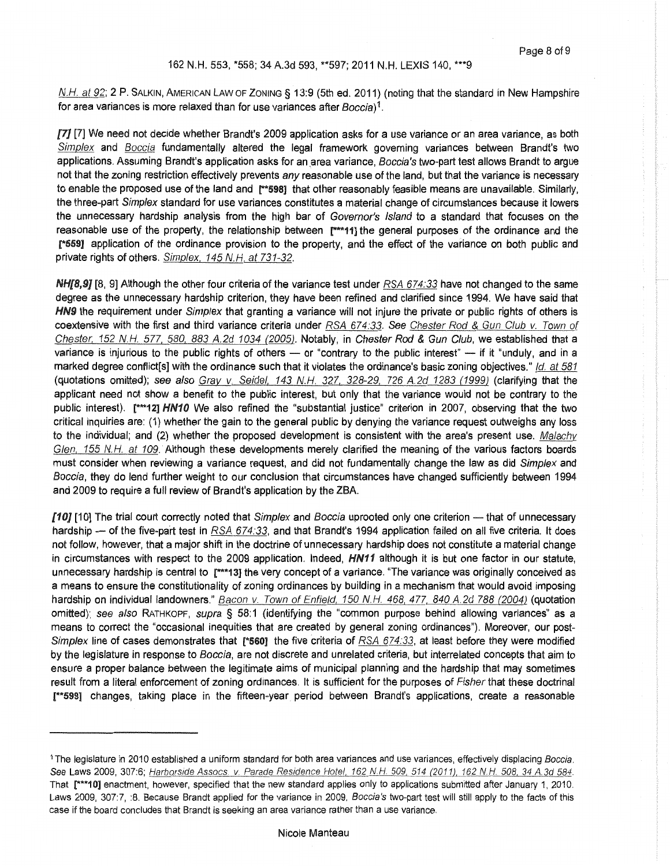N.H. at 92; 2 P. SALKIN, AMERICAN LAW OF ZONING § 13:9 (5th ed. 2011) (noting that the standard in New Hampshire for area variances is more relaxed than for use variances after Boccia)<sup>1</sup>.

[7] [7] We need not decide whether Brandt's 2009 application asks for a use variance or an area variance, as both Simplex and Boccia fundamentally altered the legal framework governing variances between Brandt's two applications. Assuming Brandt's application asks for an area variance, Boccia's two-part test allows Brandt to argue not that the zoning restriction effectively prevents any reasonable use of the land, but that the variance is necessary to enable the proposed use of the land and [\*\*598] that other reasonably feasible means are unavailable. Similarly, the three-part Simplex standard for use variances constitutes a material change of circumstances because it lowers the unnecessary hardship analysis from the high bar of Governor's Island to a standard that focuses on the reasonable use of the property, the relationship between [\*\*\*11] the general purposes of the ordinance and the rss9] application of the ordinance provision to the property, and the effect of the variance on both public and private rights of others. Simplex, 145 N.H. at 731-32.

NH[8,9] [8, 9] Although the other four criteria of the variance test under RSA 674:33 have not changed to the same degree as the unnecessary hardship criterion, they have been refined and clarified since 1994. We have said that HN9 the requirement under Simplex that granting a variance will not injure the private or public rights of others is coextensive with the first and third variance criteria under RSA 674:33. See Chester Rod & Gun Club v. Town of Chester, 152 N.H. 577, 580, 883 A.2d 1034 (2005). Notably, in Chester Rod & Gun Club, we established that a variance is injurious to the public rights of others  $-$  or "contrary to the public interest"  $-$  if it "unduly, and in a marked degree conflict[s] with the ordinance such that it violates the ordinance's basic zoning objectives." */d.* at 581 (quotations omitted); see also Grav v. Seidel, 143 N.H. 327. 328·29, 726 A.2d 1283 (1999) (clarifying that the applicant need not show a benefit to the public interest, but only that the variance would not be contrary to the public interest). [\*\*\*12] HN10 We also refined the "substantial justice" criterion in 2007, observing that the two critical inquiries are: (1) whether the gain to the general public by denying the variance request outweighs any loss to the individual; and (2) whether the proposed development is consistent with the area's present use. Malachv Glen, 155 N.H. at 109. Although these developments merely clarified the meaning of the various factors boards must consider when reviewing a variance request, and did not fundamentally change the law as did Simplex and Boccia, they do lend further weight to our conclusion that circumstances have changed sufficiently between 1994 and 2009 to require a full review of Brandt's application by the ZBA.

[10] [10] The trial court correctly noted that Simplex and Boccia uprooted only one criterion - that of unnecessary hardship - of the five-part test in  $RSA$   $674:33$ , and that Brandt's 1994 application failed on all five criteria. It does not follow, however, that a major shift in the doctrine of unnecessary hardship does not constitute a material change in circumstances with respect to the 2009 application. Indeed,  $H N11$  although it is but one factor in our statute, unnecessary hardship is central to r\*\*13] the very concept of a variance. "The variance was originally conceived as a means to ensure the constitutionality of zoning ordinances by building in a mechanism that would avoid imposing hardship on individual landowners." Bacon v. Town of Enfield, 150 N.H. 468, 477, 840 A.2d 788 (2004) (quotation omitted); see also RATHKOPF, supra § 58:1 (identifying the "common purpose behind allowing variances" as a means to correct the "occasional inequities that are created by general zoning ordinances"). Moreover, our post-Simplex line of cases demonstrates that [\*560] the five criteria of RSA 674.33, at least before they were modified by the legislature in response to Boccia, are not discrete and unrelated criteria, but interrelated concepts that aim to ensure a proper balance between the legitimate aims of municipal planning and the hardship that may sometimes result from a literal enforcement of zoning ordinances. It is sufficient for the purposes of Fisher that these doctrinal [\*\*599] changes, taking place in the fifteen-year period between Brandt's applications, create a reasonable

<sup>&</sup>lt;sup>1</sup> The legislature in 2010 established a uniform standard for both area variances and use variances, effectively displacing Boccia. See Laws 2009, 307:6; Harborside Assocs. v. Parade Residence Hotel, 162 N.H. 509, 514 (2011), 162 N.H. 508, 34 A 3d 584. That r\*\*\*10] enactment, however, specified that the new standard applies only to applications submitted after January 1, 2010. Laws 2009, 307:7, :8. Because Brandt applied for the variance in 2009, Boccia's two-part test will still apply to the facts of this case if the board concludes that Brandt is seeking an area variance rather than a use variance.